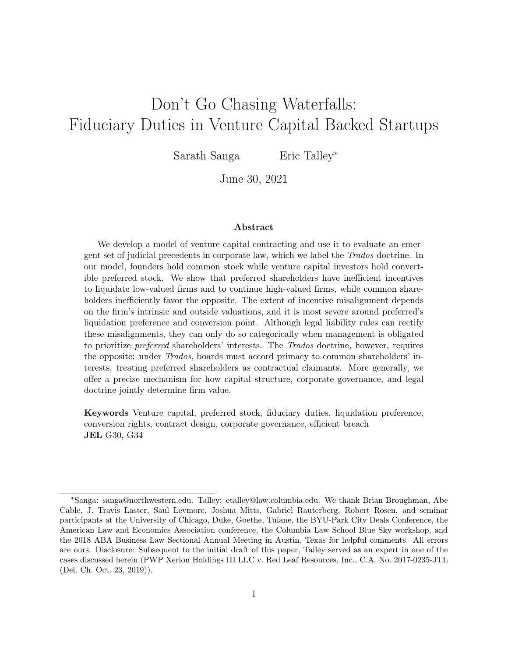## Don't Go Chasing Waterfalls: Fiduciary Duties in Venture Capital Backed Startups

Sarath Sanga Eric Talley<sup>∗</sup>

June 30, 2021

#### Abstract

We develop a model of venture capital contracting and use it to evaluate an emergent set of judicial precedents in corporate law, which we label the Trados doctrine. In our model, founders hold common stock while venture capital investors hold convertible preferred stock. We show that preferred shareholders have inefficient incentives to liquidate low-valued firms and to continue high-valued firms, while common shareholders inefficiently favor the opposite. The extent of incentive misalignment depends on the firm's intrinsic and outside valuations, and it is most severe around preferred's liquidation preference and conversion point. Although legal liability rules can rectify these misalignments, they can only do so categorically when management is obligated to prioritize preferred shareholders' interests. The Trados doctrine, however, requires the opposite: under Trados, boards must accord primacy to common shareholders' interests, treating preferred shareholders as contractual claimants. More generally, we offer a precise mechanism for how capital structure, corporate governance, and legal doctrine jointly determine firm value.

Keywords Venture capital, preferred stock, fiduciary duties, liquidation preference, conversion rights, contract design, corporate governance, efficient breach JEL G30, G34

<sup>∗</sup>Sanga: sanga@northwestern.edu. Talley: etalley@law.columbia.edu. We thank Brian Broughman, Abe Cable, J. Travis Laster, Saul Levmore, Joshua Mitts, Gabriel Rauterberg, Robert Rosen, and seminar participants at the University of Chicago, Duke, Goethe, Tulane, the BYU-Park City Deals Conference, the American Law and Economics Association conference, the Columbia Law School Blue Sky workshop, and the 2018 ABA Business Law Sectional Annual Meeting in Austin, Texas for helpful comments. All errors are ours. Disclosure: Subsequent to the initial draft of this paper, Talley served as an expert in one of the cases discussed herein (PWP Xerion Holdings III LLC v. Red Leaf Resources, Inc., C.A. No. 2017-0235-JTL (Del. Ch. Oct. 23, 2019)).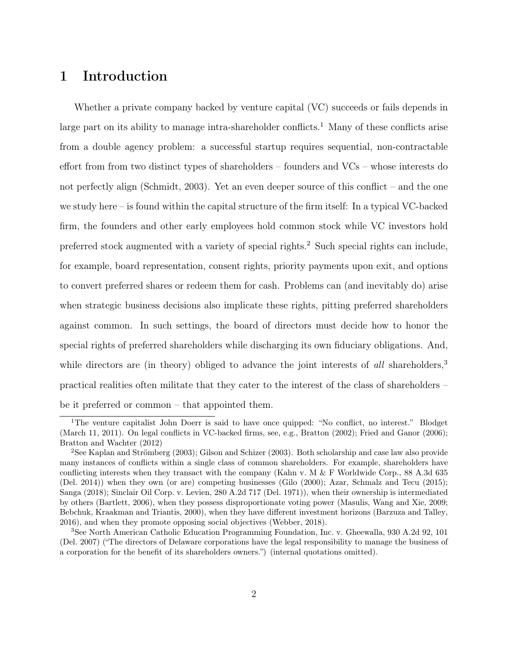## 1 Introduction

Whether a private company backed by venture capital (VC) succeeds or fails depends in large part on its ability to manage intra-shareholder conflicts.<sup>1</sup> Many of these conflicts arise from a double agency problem: a successful startup requires sequential, non-contractable effort from from two distinct types of shareholders – founders and VCs – whose interests do not perfectly align (Schmidt, 2003). Yet an even deeper source of this conflict – and the one we study here – is found within the capital structure of the firm itself: In a typical VC-backed firm, the founders and other early employees hold common stock while VC investors hold preferred stock augmented with a variety of special rights.<sup>2</sup> Such special rights can include, for example, board representation, consent rights, priority payments upon exit, and options to convert preferred shares or redeem them for cash. Problems can (and inevitably do) arise when strategic business decisions also implicate these rights, pitting preferred shareholders against common. In such settings, the board of directors must decide how to honor the special rights of preferred shareholders while discharging its own fiduciary obligations. And, while directors are (in theory) obliged to advance the joint interests of all shareholders,<sup>3</sup> practical realities often militate that they cater to the interest of the class of shareholders – be it preferred or common – that appointed them.

<sup>&</sup>lt;sup>1</sup>The venture capitalist John Doerr is said to have once quipped: "No conflict, no interest." Blodget (March 11, 2011). On legal conflicts in VC-backed firms, see, e.g., Bratton (2002); Fried and Ganor (2006); Bratton and Wachter (2012)

<sup>2</sup>See Kaplan and Strömberg (2003); Gilson and Schizer (2003). Both scholarship and case law also provide many instances of conflicts within a single class of common shareholders. For example, shareholders have conflicting interests when they transact with the company (Kahn v. M & F Worldwide Corp., 88 A.3d 635 (Del. 2014)) when they own (or are) competing businesses (Gilo (2000); Azar, Schmalz and Tecu (2015); Sanga (2018); Sinclair Oil Corp. v. Levien, 280 A.2d 717 (Del. 1971)), when their ownership is intermediated by others (Bartlett, 2006), when they possess disproportionate voting power (Masulis, Wang and Xie, 2009; Bebchuk, Kraakman and Triantis, 2000), when they have different investment horizons (Barzuza and Talley, 2016), and when they promote opposing social objectives (Webber, 2018).

<sup>3</sup>See North American Catholic Education Programming Foundation, Inc. v. Gheewalla, 930 A.2d 92, 101 (Del. 2007) ("The directors of Delaware corporations have the legal responsibility to manage the business of a corporation for the benefit of its shareholders owners.") (internal quotations omitted).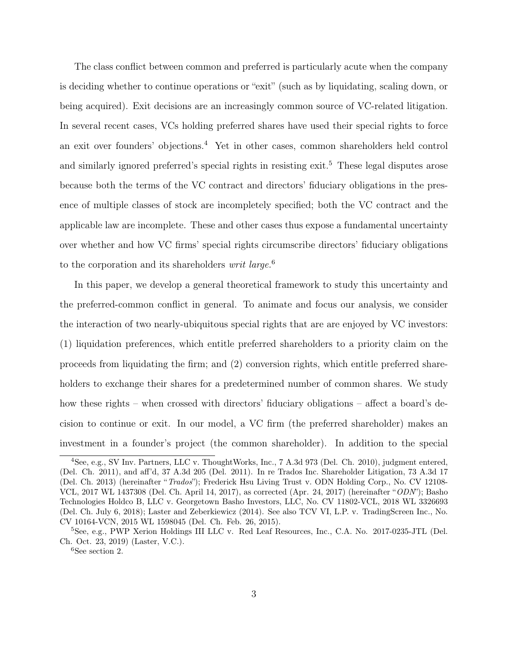The class conflict between common and preferred is particularly acute when the company is deciding whether to continue operations or "exit" (such as by liquidating, scaling down, or being acquired). Exit decisions are an increasingly common source of VC-related litigation. In several recent cases, VCs holding preferred shares have used their special rights to force an exit over founders' objections.<sup>4</sup> Yet in other cases, common shareholders held control and similarly ignored preferred's special rights in resisting exit.<sup>5</sup> These legal disputes arose because both the terms of the VC contract and directors' fiduciary obligations in the presence of multiple classes of stock are incompletely specified; both the VC contract and the applicable law are incomplete. These and other cases thus expose a fundamental uncertainty over whether and how VC firms' special rights circumscribe directors' fiduciary obligations to the corporation and its shareholders *writ large*.<sup>6</sup>

In this paper, we develop a general theoretical framework to study this uncertainty and the preferred-common conflict in general. To animate and focus our analysis, we consider the interaction of two nearly-ubiquitous special rights that are are enjoyed by VC investors: (1) liquidation preferences, which entitle preferred shareholders to a priority claim on the proceeds from liquidating the firm; and (2) conversion rights, which entitle preferred shareholders to exchange their shares for a predetermined number of common shares. We study how these rights – when crossed with directors' fiduciary obligations – affect a board's decision to continue or exit. In our model, a VC firm (the preferred shareholder) makes an investment in a founder's project (the common shareholder). In addition to the special

<sup>4</sup>See, e.g., SV Inv. Partners, LLC v. ThoughtWorks, Inc., 7 A.3d 973 (Del. Ch. 2010), judgment entered, (Del. Ch. 2011), and aff'd, 37 A.3d 205 (Del. 2011). In re Trados Inc. Shareholder Litigation, 73 A.3d 17 (Del. Ch. 2013) (hereinafter "Trados"); Frederick Hsu Living Trust v. ODN Holding Corp., No. CV 12108- VCL, 2017 WL 1437308 (Del. Ch. April 14, 2017), as corrected (Apr. 24, 2017) (hereinafter "ODN"); Basho Technologies Holdco B, LLC v. Georgetown Basho Investors, LLC, No. CV 11802-VCL, 2018 WL 3326693 (Del. Ch. July 6, 2018); Laster and Zeberkiewicz (2014). See also TCV VI, L.P. v. TradingScreen Inc., No. CV 10164-VCN, 2015 WL 1598045 (Del. Ch. Feb. 26, 2015).

<sup>5</sup>See, e.g., PWP Xerion Holdings III LLC v. Red Leaf Resources, Inc., C.A. No. 2017-0235-JTL (Del. Ch. Oct. 23, 2019) (Laster, V.C.).

<sup>&</sup>lt;sup>6</sup>See section 2.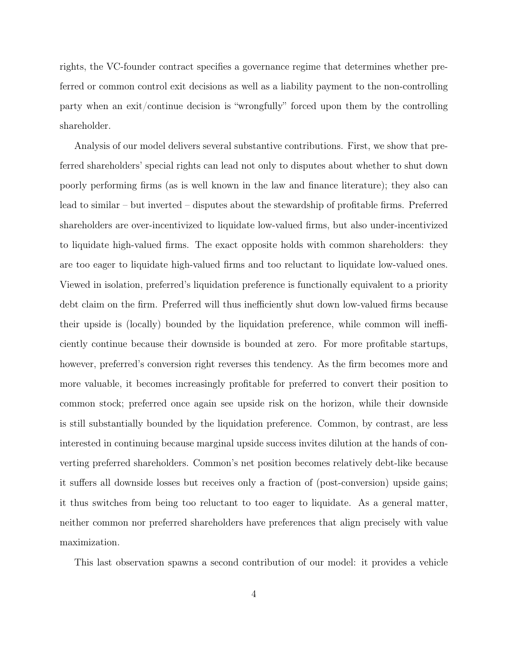rights, the VC-founder contract specifies a governance regime that determines whether preferred or common control exit decisions as well as a liability payment to the non-controlling party when an exit/continue decision is "wrongfully" forced upon them by the controlling shareholder.

Analysis of our model delivers several substantive contributions. First, we show that preferred shareholders' special rights can lead not only to disputes about whether to shut down poorly performing firms (as is well known in the law and finance literature); they also can lead to similar – but inverted – disputes about the stewardship of profitable firms. Preferred shareholders are over-incentivized to liquidate low-valued firms, but also under-incentivized to liquidate high-valued firms. The exact opposite holds with common shareholders: they are too eager to liquidate high-valued firms and too reluctant to liquidate low-valued ones. Viewed in isolation, preferred's liquidation preference is functionally equivalent to a priority debt claim on the firm. Preferred will thus inefficiently shut down low-valued firms because their upside is (locally) bounded by the liquidation preference, while common will inefficiently continue because their downside is bounded at zero. For more profitable startups, however, preferred's conversion right reverses this tendency. As the firm becomes more and more valuable, it becomes increasingly profitable for preferred to convert their position to common stock; preferred once again see upside risk on the horizon, while their downside is still substantially bounded by the liquidation preference. Common, by contrast, are less interested in continuing because marginal upside success invites dilution at the hands of converting preferred shareholders. Common's net position becomes relatively debt-like because it suffers all downside losses but receives only a fraction of (post-conversion) upside gains; it thus switches from being too reluctant to too eager to liquidate. As a general matter, neither common nor preferred shareholders have preferences that align precisely with value maximization.

This last observation spawns a second contribution of our model: it provides a vehicle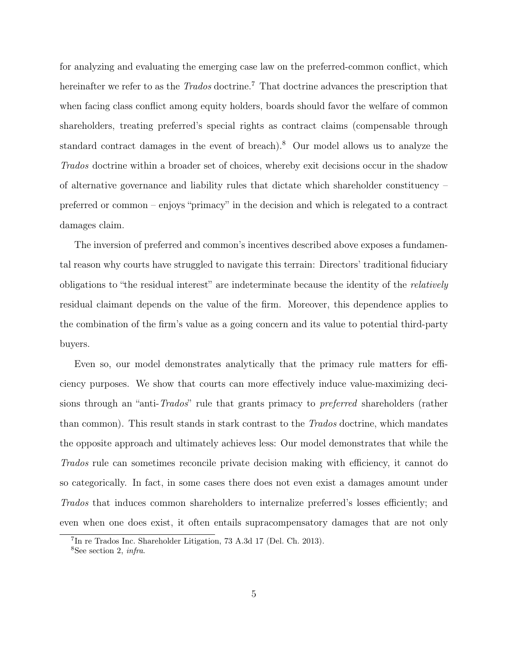for analyzing and evaluating the emerging case law on the preferred-common conflict, which hereinafter we refer to as the *Trados* doctrine.<sup>7</sup> That doctrine advances the prescription that when facing class conflict among equity holders, boards should favor the welfare of common shareholders, treating preferred's special rights as contract claims (compensable through standard contract damages in the event of breach).<sup>8</sup> Our model allows us to analyze the Trados doctrine within a broader set of choices, whereby exit decisions occur in the shadow of alternative governance and liability rules that dictate which shareholder constituency – preferred or common – enjoys "primacy" in the decision and which is relegated to a contract damages claim.

The inversion of preferred and common's incentives described above exposes a fundamental reason why courts have struggled to navigate this terrain: Directors' traditional fiduciary obligations to "the residual interest" are indeterminate because the identity of the relatively residual claimant depends on the value of the firm. Moreover, this dependence applies to the combination of the firm's value as a going concern and its value to potential third-party buyers.

Even so, our model demonstrates analytically that the primacy rule matters for efficiency purposes. We show that courts can more effectively induce value-maximizing decisions through an "anti-Trados" rule that grants primacy to *preferred* shareholders (rather than common). This result stands in stark contrast to the Trados doctrine, which mandates the opposite approach and ultimately achieves less: Our model demonstrates that while the Trados rule can sometimes reconcile private decision making with efficiency, it cannot do so categorically. In fact, in some cases there does not even exist a damages amount under Trados that induces common shareholders to internalize preferred's losses efficiently; and even when one does exist, it often entails supracompensatory damages that are not only

<sup>7</sup> In re Trados Inc. Shareholder Litigation, 73 A.3d 17 (Del. Ch. 2013). <sup>8</sup>See section 2, infra.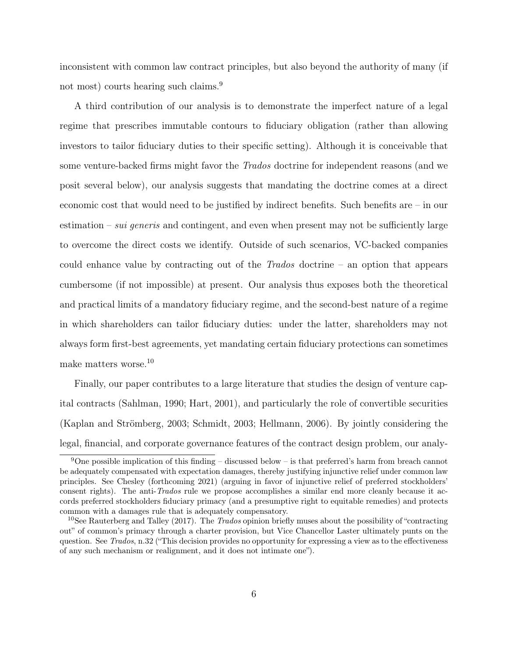inconsistent with common law contract principles, but also beyond the authority of many (if not most) courts hearing such claims.<sup>9</sup>

A third contribution of our analysis is to demonstrate the imperfect nature of a legal regime that prescribes immutable contours to fiduciary obligation (rather than allowing investors to tailor fiduciary duties to their specific setting). Although it is conceivable that some venture-backed firms might favor the Trados doctrine for independent reasons (and we posit several below), our analysis suggests that mandating the doctrine comes at a direct economic cost that would need to be justified by indirect benefits. Such benefits are – in our estimation – *sui generis* and contingent, and even when present may not be sufficiently large to overcome the direct costs we identify. Outside of such scenarios, VC-backed companies could enhance value by contracting out of the Trados doctrine – an option that appears cumbersome (if not impossible) at present. Our analysis thus exposes both the theoretical and practical limits of a mandatory fiduciary regime, and the second-best nature of a regime in which shareholders can tailor fiduciary duties: under the latter, shareholders may not always form first-best agreements, yet mandating certain fiduciary protections can sometimes make matters worse.<sup>10</sup>

Finally, our paper contributes to a large literature that studies the design of venture capital contracts (Sahlman, 1990; Hart, 2001), and particularly the role of convertible securities (Kaplan and Strömberg, 2003; Schmidt, 2003; Hellmann, 2006). By jointly considering the legal, financial, and corporate governance features of the contract design problem, our analy-

<sup>&</sup>lt;sup>9</sup>One possible implication of this finding – discussed below – is that preferred's harm from breach cannot be adequately compensated with expectation damages, thereby justifying injunctive relief under common law principles. See Chesley (forthcoming 2021) (arguing in favor of injunctive relief of preferred stockholders' consent rights). The anti-Trados rule we propose accomplishes a similar end more cleanly because it accords preferred stockholders fiduciary primacy (and a presumptive right to equitable remedies) and protects common with a damages rule that is adequately compensatory.

<sup>&</sup>lt;sup>10</sup>See Rauterberg and Talley (2017). The *Trados* opinion briefly muses about the possibility of "contracting" out" of common's primacy through a charter provision, but Vice Chancellor Laster ultimately punts on the question. See Trados, n.32 ("This decision provides no opportunity for expressing a view as to the effectiveness of any such mechanism or realignment, and it does not intimate one").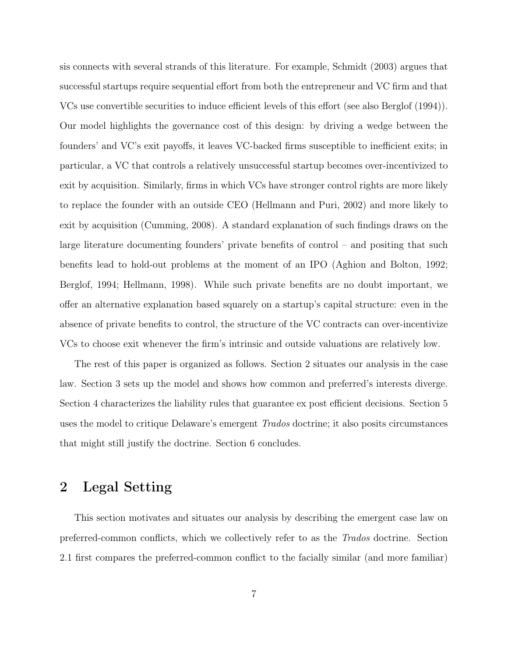sis connects with several strands of this literature. For example, Schmidt (2003) argues that successful startups require sequential effort from both the entrepreneur and VC firm and that VCs use convertible securities to induce efficient levels of this effort (see also Berglof (1994)). Our model highlights the governance cost of this design: by driving a wedge between the founders' and VC's exit payoffs, it leaves VC-backed firms susceptible to inefficient exits; in particular, a VC that controls a relatively unsuccessful startup becomes over-incentivized to exit by acquisition. Similarly, firms in which VCs have stronger control rights are more likely to replace the founder with an outside CEO (Hellmann and Puri, 2002) and more likely to exit by acquisition (Cumming, 2008). A standard explanation of such findings draws on the large literature documenting founders' private benefits of control – and positing that such benefits lead to hold-out problems at the moment of an IPO (Aghion and Bolton, 1992; Berglof, 1994; Hellmann, 1998). While such private benefits are no doubt important, we offer an alternative explanation based squarely on a startup's capital structure: even in the absence of private benefits to control, the structure of the VC contracts can over-incentivize VCs to choose exit whenever the firm's intrinsic and outside valuations are relatively low.

The rest of this paper is organized as follows. Section 2 situates our analysis in the case law. Section 3 sets up the model and shows how common and preferred's interests diverge. Section 4 characterizes the liability rules that guarantee ex post efficient decisions. Section 5 uses the model to critique Delaware's emergent Trados doctrine; it also posits circumstances that might still justify the doctrine. Section 6 concludes.

## 2 Legal Setting

This section motivates and situates our analysis by describing the emergent case law on preferred-common conflicts, which we collectively refer to as the Trados doctrine. Section 2.1 first compares the preferred-common conflict to the facially similar (and more familiar)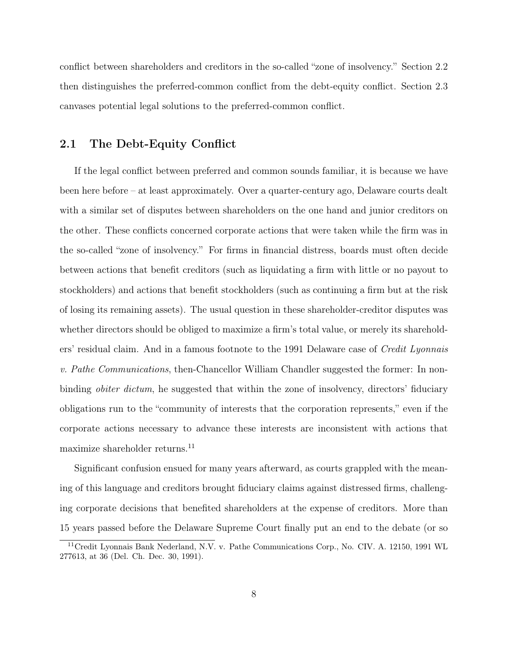conflict between shareholders and creditors in the so-called "zone of insolvency." Section 2.2 then distinguishes the preferred-common conflict from the debt-equity conflict. Section 2.3 canvases potential legal solutions to the preferred-common conflict.

#### 2.1 The Debt-Equity Conflict

If the legal conflict between preferred and common sounds familiar, it is because we have been here before – at least approximately. Over a quarter-century ago, Delaware courts dealt with a similar set of disputes between shareholders on the one hand and junior creditors on the other. These conflicts concerned corporate actions that were taken while the firm was in the so-called "zone of insolvency." For firms in financial distress, boards must often decide between actions that benefit creditors (such as liquidating a firm with little or no payout to stockholders) and actions that benefit stockholders (such as continuing a firm but at the risk of losing its remaining assets). The usual question in these shareholder-creditor disputes was whether directors should be obliged to maximize a firm's total value, or merely its shareholders' residual claim. And in a famous footnote to the 1991 Delaware case of Credit Lyonnais v. Pathe Communications, then-Chancellor William Chandler suggested the former: In nonbinding *obiter dictum*, he suggested that within the zone of insolvency, directors' fiduciary obligations run to the "community of interests that the corporation represents," even if the corporate actions necessary to advance these interests are inconsistent with actions that maximize shareholder returns.<sup>11</sup>

Significant confusion ensued for many years afterward, as courts grappled with the meaning of this language and creditors brought fiduciary claims against distressed firms, challenging corporate decisions that benefited shareholders at the expense of creditors. More than 15 years passed before the Delaware Supreme Court finally put an end to the debate (or so

<sup>&</sup>lt;sup>11</sup>Credit Lyonnais Bank Nederland, N.V. v. Pathe Communications Corp., No. CIV. A. 12150, 1991 WL 277613, at 36 (Del. Ch. Dec. 30, 1991).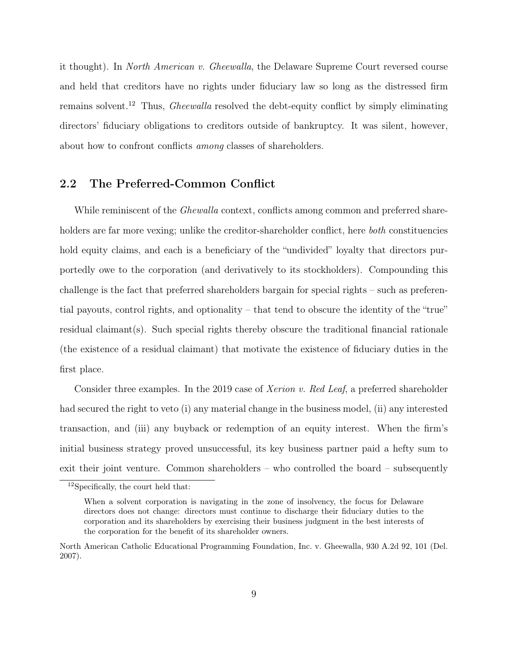it thought). In North American v. Gheewalla, the Delaware Supreme Court reversed course and held that creditors have no rights under fiduciary law so long as the distressed firm remains solvent.<sup>12</sup> Thus, Gheewalla resolved the debt-equity conflict by simply eliminating directors' fiduciary obligations to creditors outside of bankruptcy. It was silent, however, about how to confront conflicts among classes of shareholders.

#### 2.2 The Preferred-Common Conflict

While reminiscent of the *Ghewalla* context, conflicts among common and preferred shareholders are far more vexing; unlike the creditor-shareholder conflict, here *both* constituencies hold equity claims, and each is a beneficiary of the "undivided" loyalty that directors purportedly owe to the corporation (and derivatively to its stockholders). Compounding this challenge is the fact that preferred shareholders bargain for special rights – such as preferential payouts, control rights, and optionality – that tend to obscure the identity of the "true" residual claimant(s). Such special rights thereby obscure the traditional financial rationale (the existence of a residual claimant) that motivate the existence of fiduciary duties in the first place.

Consider three examples. In the 2019 case of Xerion v. Red Leaf, a preferred shareholder had secured the right to veto (i) any material change in the business model, (ii) any interested transaction, and (iii) any buyback or redemption of an equity interest. When the firm's initial business strategy proved unsuccessful, its key business partner paid a hefty sum to exit their joint venture. Common shareholders – who controlled the board – subsequently

<sup>12</sup>Specifically, the court held that:

When a solvent corporation is navigating in the zone of insolvency, the focus for Delaware directors does not change: directors must continue to discharge their fiduciary duties to the corporation and its shareholders by exercising their business judgment in the best interests of the corporation for the benefit of its shareholder owners.

North American Catholic Educational Programming Foundation, Inc. v. Gheewalla, 930 A.2d 92, 101 (Del. 2007).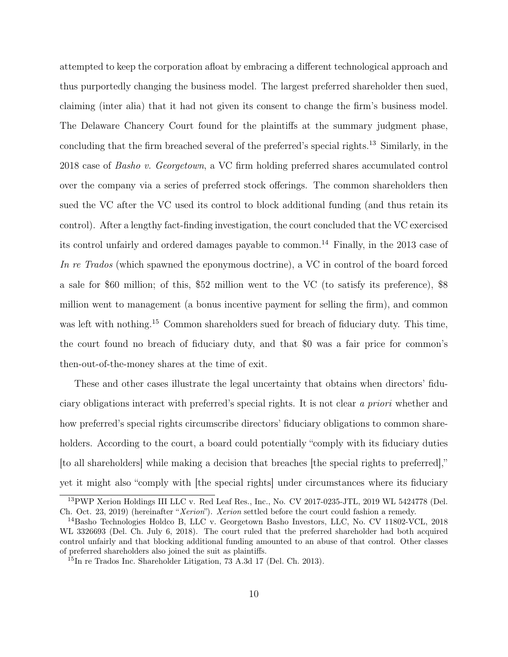attempted to keep the corporation afloat by embracing a different technological approach and thus purportedly changing the business model. The largest preferred shareholder then sued, claiming (inter alia) that it had not given its consent to change the firm's business model. The Delaware Chancery Court found for the plaintiffs at the summary judgment phase, concluding that the firm breached several of the preferred's special rights.<sup>13</sup> Similarly, in the 2018 case of Basho v. Georgetown, a VC firm holding preferred shares accumulated control over the company via a series of preferred stock offerings. The common shareholders then sued the VC after the VC used its control to block additional funding (and thus retain its control). After a lengthy fact-finding investigation, the court concluded that the VC exercised its control unfairly and ordered damages payable to common.<sup>14</sup> Finally, in the 2013 case of In re Trados (which spawned the eponymous doctrine), a VC in control of the board forced a sale for \$60 million; of this, \$52 million went to the VC (to satisfy its preference), \$8 million went to management (a bonus incentive payment for selling the firm), and common was left with nothing.<sup>15</sup> Common shareholders sued for breach of fiduciary duty. This time, the court found no breach of fiduciary duty, and that \$0 was a fair price for common's then-out-of-the-money shares at the time of exit.

These and other cases illustrate the legal uncertainty that obtains when directors' fiduciary obligations interact with preferred's special rights. It is not clear a priori whether and how preferred's special rights circumscribe directors' fiduciary obligations to common shareholders. According to the court, a board could potentially "comply with its fiduciary duties [to all shareholders] while making a decision that breaches [the special rights to preferred]," yet it might also "comply with [the special rights] under circumstances where its fiduciary

<sup>&</sup>lt;sup>13</sup>PWP Xerion Holdings III LLC v. Red Leaf Res., Inc., No. CV 2017-0235-JTL, 2019 WL 5424778 (Del. Ch. Oct. 23, 2019) (hereinafter "Xerion"). Xerion settled before the court could fashion a remedy.

<sup>14</sup>Basho Technologies Holdco B, LLC v. Georgetown Basho Investors, LLC, No. CV 11802-VCL, 2018 WL 3326693 (Del. Ch. July 6, 2018). The court ruled that the preferred shareholder had both acquired control unfairly and that blocking additional funding amounted to an abuse of that control. Other classes of preferred shareholders also joined the suit as plaintiffs.

<sup>15</sup>In re Trados Inc. Shareholder Litigation, 73 A.3d 17 (Del. Ch. 2013).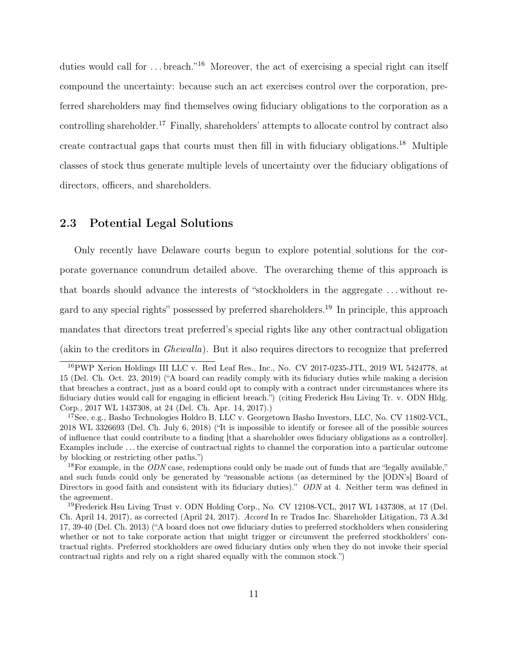duties would call for ... breach."<sup>16</sup> Moreover, the act of exercising a special right can itself compound the uncertainty: because such an act exercises control over the corporation, preferred shareholders may find themselves owing fiduciary obligations to the corporation as a controlling shareholder.<sup>17</sup> Finally, shareholders' attempts to allocate control by contract also create contractual gaps that courts must then fill in with fiduciary obligations.<sup>18</sup> Multiple classes of stock thus generate multiple levels of uncertainty over the fiduciary obligations of directors, officers, and shareholders.

#### 2.3 Potential Legal Solutions

Only recently have Delaware courts begun to explore potential solutions for the corporate governance conundrum detailed above. The overarching theme of this approach is that boards should advance the interests of "stockholders in the aggregate . . . without regard to any special rights" possessed by preferred shareholders.<sup>19</sup> In principle, this approach mandates that directors treat preferred's special rights like any other contractual obligation (akin to the creditors in Ghewalla). But it also requires directors to recognize that preferred

<sup>16</sup>PWP Xerion Holdings III LLC v. Red Leaf Res., Inc., No. CV 2017-0235-JTL, 2019 WL 5424778, at 15 (Del. Ch. Oct. 23, 2019) ("A board can readily comply with its fiduciary duties while making a decision that breaches a contract, just as a board could opt to comply with a contract under circumstances where its fiduciary duties would call for engaging in efficient breach.") (citing Frederick Hsu Living Tr. v. ODN Hldg. Corp., 2017 WL 1437308, at 24 (Del. Ch. Apr. 14, 2017).)

<sup>&</sup>lt;sup>17</sup>See, e.g., Basho Technologies Holdco B, LLC v. Georgetown Basho Investors, LLC, No. CV 11802-VCL. 2018 WL 3326693 (Del. Ch. July 6, 2018) ("It is impossible to identify or foresee all of the possible sources of influence that could contribute to a finding [that a shareholder owes fiduciary obligations as a controller]. Examples include . . . the exercise of contractual rights to channel the corporation into a particular outcome by blocking or restricting other paths.")

 $18$ For example, in the ODN case, redemptions could only be made out of funds that are "legally available," and such funds could only be generated by "reasonable actions (as determined by the [ODN's] Board of Directors in good faith and consistent with its fiduciary duties)." ODN at 4. Neither term was defined in the agreement.

<sup>&</sup>lt;sup>19</sup>Frederick Hsu Living Trust v. ODN Holding Corp., No. CV 12108-VCL, 2017 WL 1437308, at 17 (Del. Ch. April 14, 2017), as corrected (April 24, 2017). Accord In re Trados Inc. Shareholder Litigation, 73 A.3d 17, 39-40 (Del. Ch. 2013) ("A board does not owe fiduciary duties to preferred stockholders when considering whether or not to take corporate action that might trigger or circumvent the preferred stockholders' contractual rights. Preferred stockholders are owed fiduciary duties only when they do not invoke their special contractual rights and rely on a right shared equally with the common stock.")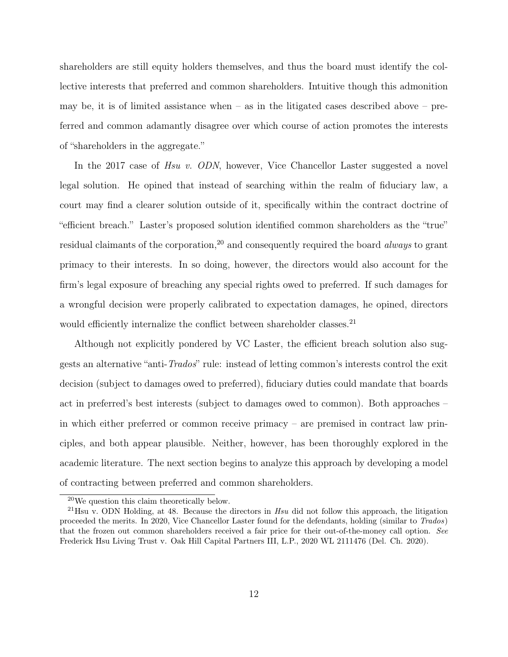shareholders are still equity holders themselves, and thus the board must identify the collective interests that preferred and common shareholders. Intuitive though this admonition may be, it is of limited assistance when  $-$  as in the litigated cases described above  $-$  preferred and common adamantly disagree over which course of action promotes the interests of "shareholders in the aggregate."

In the 2017 case of Hsu v. ODN, however, Vice Chancellor Laster suggested a novel legal solution. He opined that instead of searching within the realm of fiduciary law, a court may find a clearer solution outside of it, specifically within the contract doctrine of "efficient breach." Laster's proposed solution identified common shareholders as the "true" residual claimants of the corporation,<sup>20</sup> and consequently required the board *always* to grant primacy to their interests. In so doing, however, the directors would also account for the firm's legal exposure of breaching any special rights owed to preferred. If such damages for a wrongful decision were properly calibrated to expectation damages, he opined, directors would efficiently internalize the conflict between shareholder classes.<sup>21</sup>

Although not explicitly pondered by VC Laster, the efficient breach solution also suggests an alternative "anti-Trados" rule: instead of letting common's interests control the exit decision (subject to damages owed to preferred), fiduciary duties could mandate that boards act in preferred's best interests (subject to damages owed to common). Both approaches – in which either preferred or common receive primacy – are premised in contract law principles, and both appear plausible. Neither, however, has been thoroughly explored in the academic literature. The next section begins to analyze this approach by developing a model of contracting between preferred and common shareholders.

<sup>20</sup>We question this claim theoretically below.

 $^{21}$ Hsu v. ODN Holding, at 48. Because the directors in Hsu did not follow this approach, the litigation proceeded the merits. In 2020, Vice Chancellor Laster found for the defendants, holding (similar to Trados) that the frozen out common shareholders received a fair price for their out-of-the-money call option. See Frederick Hsu Living Trust v. Oak Hill Capital Partners III, L.P., 2020 WL 2111476 (Del. Ch. 2020).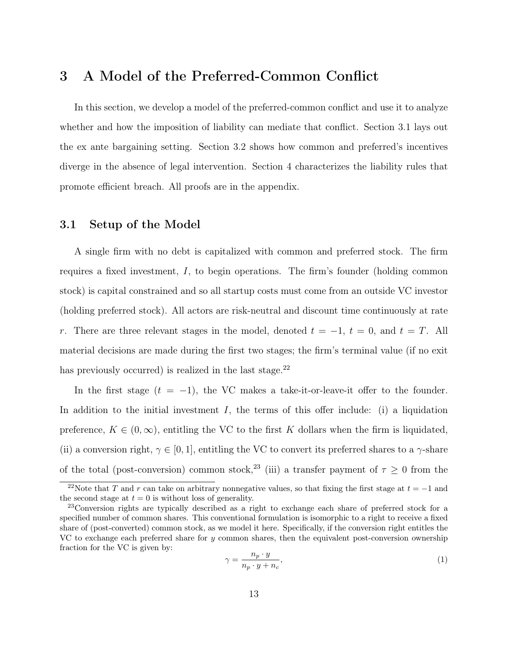## 3 A Model of the Preferred-Common Conflict

In this section, we develop a model of the preferred-common conflict and use it to analyze whether and how the imposition of liability can mediate that conflict. Section 3.1 lays out the ex ante bargaining setting. Section 3.2 shows how common and preferred's incentives diverge in the absence of legal intervention. Section 4 characterizes the liability rules that promote efficient breach. All proofs are in the appendix.

#### 3.1 Setup of the Model

A single firm with no debt is capitalized with common and preferred stock. The firm requires a fixed investment, I, to begin operations. The firm's founder (holding common stock) is capital constrained and so all startup costs must come from an outside VC investor (holding preferred stock). All actors are risk-neutral and discount time continuously at rate r. There are three relevant stages in the model, denoted  $t = -1$ ,  $t = 0$ , and  $t = T$ . All material decisions are made during the first two stages; the firm's terminal value (if no exit has previously occurred) is realized in the last stage.<sup>22</sup>

In the first stage  $(t = -1)$ , the VC makes a take-it-or-leave-it offer to the founder. In addition to the initial investment  $I$ , the terms of this offer include: (i) a liquidation preference,  $K \in (0,\infty)$ , entitling the VC to the first K dollars when the firm is liquidated, (ii) a conversion right,  $\gamma \in [0, 1]$ , entitling the VC to convert its preferred shares to a  $\gamma$ -share of the total (post-conversion) common stock,<sup>23</sup> (iii) a transfer payment of  $\tau \geq 0$  from the

$$
\gamma = \frac{n_p \cdot y}{n_p \cdot y + n_c},\tag{1}
$$

<sup>&</sup>lt;sup>22</sup>Note that T and r can take on arbitrary nonnegative values, so that fixing the first stage at  $t = -1$  and the second stage at  $t = 0$  is without loss of generality.

<sup>23</sup>Conversion rights are typically described as a right to exchange each share of preferred stock for a specified number of common shares. This conventional formulation is isomorphic to a right to receive a fixed share of (post-converted) common stock, as we model it here. Specifically, if the conversion right entitles the VC to exchange each preferred share for y common shares, then the equivalent post-conversion ownership fraction for the VC is given by: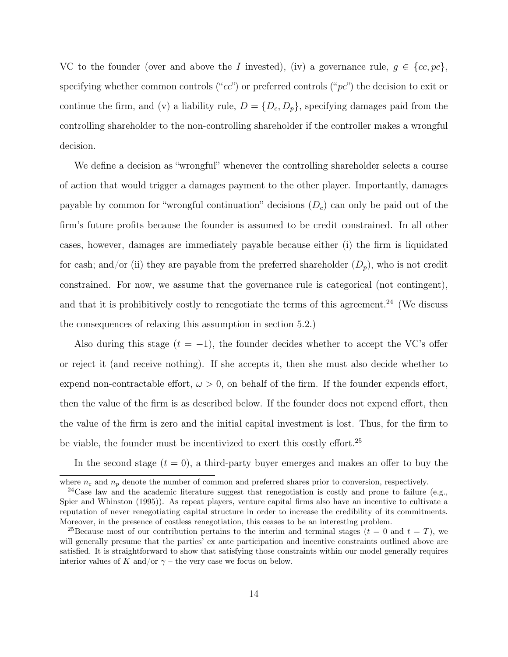VC to the founder (over and above the I invested), (iv) a governance rule,  $g \in \{cc, pc\}$ , specifying whether common controls (" $cc$ ") or preferred controls (" $pc$ ") the decision to exit or continue the firm, and (v) a liability rule,  $D = \{D_c, D_p\}$ , specifying damages paid from the controlling shareholder to the non-controlling shareholder if the controller makes a wrongful decision.

We define a decision as "wrongful" whenever the controlling shareholder selects a course of action that would trigger a damages payment to the other player. Importantly, damages payable by common for "wrongful continuation" decisions  $(D<sub>c</sub>)$  can only be paid out of the firm's future profits because the founder is assumed to be credit constrained. In all other cases, however, damages are immediately payable because either (i) the firm is liquidated for cash; and/or (ii) they are payable from the preferred shareholder  $(D_p)$ , who is not credit constrained. For now, we assume that the governance rule is categorical (not contingent), and that it is prohibitively costly to renegotiate the terms of this agreement.<sup>24</sup> (We discuss the consequences of relaxing this assumption in section 5.2.)

Also during this stage  $(t = -1)$ , the founder decides whether to accept the VC's offer or reject it (and receive nothing). If she accepts it, then she must also decide whether to expend non-contractable effort,  $\omega > 0$ , on behalf of the firm. If the founder expends effort, then the value of the firm is as described below. If the founder does not expend effort, then the value of the firm is zero and the initial capital investment is lost. Thus, for the firm to be viable, the founder must be incentivized to exert this costly effort.<sup>25</sup>

In the second stage  $(t = 0)$ , a third-party buyer emerges and makes an offer to buy the

where  $n_c$  and  $n_p$  denote the number of common and preferred shares prior to conversion, respectively.

 $24$ Case law and the academic literature suggest that renegotiation is costly and prone to failure (e.g., Spier and Whinston (1995)). As repeat players, venture capital firms also have an incentive to cultivate a reputation of never renegotiating capital structure in order to increase the credibility of its commitments. Moreover, in the presence of costless renegotiation, this ceases to be an interesting problem.

<sup>&</sup>lt;sup>25</sup>Because most of our contribution pertains to the interim and terminal stages ( $t = 0$  and  $t = T$ ), we will generally presume that the parties' ex ante participation and incentive constraints outlined above are satisfied. It is straightforward to show that satisfying those constraints within our model generally requires interior values of K and/or  $\gamma$  – the very case we focus on below.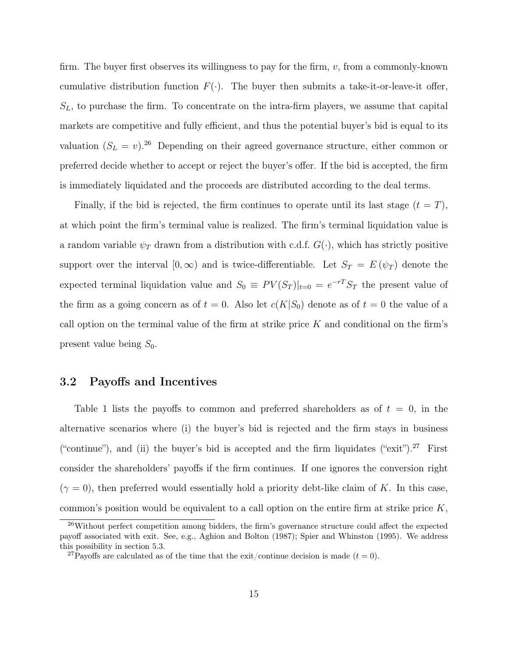firm. The buyer first observes its willingness to pay for the firm, v, from a commonly-known cumulative distribution function  $F(\cdot)$ . The buyer then submits a take-it-or-leave-it offer,  $S_L$ , to purchase the firm. To concentrate on the intra-firm players, we assume that capital markets are competitive and fully efficient, and thus the potential buyer's bid is equal to its valuation  $(S_L = v)^{26}$  Depending on their agreed governance structure, either common or preferred decide whether to accept or reject the buyer's offer. If the bid is accepted, the firm is immediately liquidated and the proceeds are distributed according to the deal terms.

Finally, if the bid is rejected, the firm continues to operate until its last stage  $(t = T)$ , at which point the firm's terminal value is realized. The firm's terminal liquidation value is a random variable  $\psi_T$  drawn from a distribution with c.d.f.  $G(\cdot)$ , which has strictly positive support over the interval  $[0, \infty)$  and is twice-differentiable. Let  $S_T = E(\psi_T)$  denote the expected terminal liquidation value and  $S_0 \equiv PV(S_T)|_{t=0} = e^{-rT}S_T$  the present value of the firm as a going concern as of  $t = 0$ . Also let  $c(K|S_0)$  denote as of  $t = 0$  the value of a call option on the terminal value of the firm at strike price  $K$  and conditional on the firm's present value being  $S_0$ .

#### 3.2 Payoffs and Incentives

Table 1 lists the payoffs to common and preferred shareholders as of  $t = 0$ , in the alternative scenarios where (i) the buyer's bid is rejected and the firm stays in business ("continue"), and (ii) the buyer's bid is accepted and the firm liquidates ("exit").<sup>27</sup> First consider the shareholders' payoffs if the firm continues. If one ignores the conversion right  $(\gamma = 0)$ , then preferred would essentially hold a priority debt-like claim of K. In this case, common's position would be equivalent to a call option on the entire firm at strike price K,

 $26$ Without perfect competition among bidders, the firm's governance structure could affect the expected payoff associated with exit. See, e.g., Aghion and Bolton (1987); Spier and Whinston (1995). We address this possibility in section 5.3.

<sup>&</sup>lt;sup>27</sup>Payoffs are calculated as of the time that the exit/continue decision is made  $(t = 0)$ .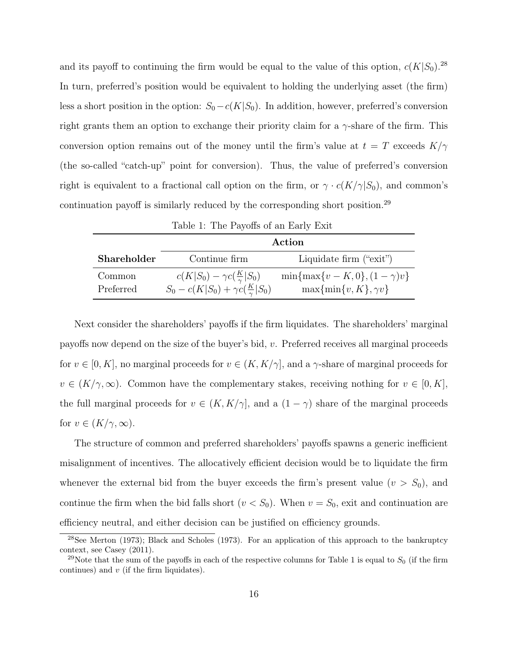and its payoff to continuing the firm would be equal to the value of this option,  $c(K|S_0)$ .<sup>28</sup> In turn, preferred's position would be equivalent to holding the underlying asset (the firm) less a short position in the option:  $S_0 - c(K|S_0)$ . In addition, however, preferred's conversion right grants them an option to exchange their priority claim for a  $\gamma$ -share of the firm. This conversion option remains out of the money until the firm's value at  $t = T$  exceeds  $K/\gamma$ (the so-called "catch-up" point for conversion). Thus, the value of preferred's conversion right is equivalent to a fractional call option on the firm, or  $\gamma \cdot c(K/\gamma|S_0)$ , and common's continuation payoff is similarly reduced by the corresponding short position.<sup>29</sup>

|                    | Action                                            |                                     |
|--------------------|---------------------------------------------------|-------------------------------------|
| <b>Shareholder</b> | Continue firm                                     | Liquidate firm ("exit")             |
| Common             | $c(K S_0) - \gamma c(\frac{K}{\gamma} S_0)$       | $\min\{\max\{v-K,0\},(1-\gamma)v\}$ |
| Preferred          | $S_0 - c(K S_0) + \gamma c(\frac{K}{\gamma} S_0)$ | $\max\{\min\{v,K\},\gamma v\}$      |

Table 1: The Payoffs of an Early Exit

Next consider the shareholders' payoffs if the firm liquidates. The shareholders' marginal payoffs now depend on the size of the buyer's bid, v. Preferred receives all marginal proceeds for  $v \in [0, K]$ , no marginal proceeds for  $v \in (K, K/\gamma]$ , and a  $\gamma$ -share of marginal proceeds for  $v \in (K/\gamma, \infty)$ . Common have the complementary stakes, receiving nothing for  $v \in [0, K]$ , the full marginal proceeds for  $v \in (K, K/\gamma]$ , and a  $(1 - \gamma)$  share of the marginal proceeds for  $v \in (K/\gamma, \infty)$ .

The structure of common and preferred shareholders' payoffs spawns a generic inefficient misalignment of incentives. The allocatively efficient decision would be to liquidate the firm whenever the external bid from the buyer exceeds the firm's present value  $(v > S_0)$ , and continue the firm when the bid falls short  $(v < S_0)$ . When  $v = S_0$ , exit and continuation are efficiency neutral, and either decision can be justified on efficiency grounds.

 $28$ See Merton (1973); Black and Scholes (1973). For an application of this approach to the bankruptcy context, see Casey (2011).

<sup>&</sup>lt;sup>29</sup>Note that the sum of the payoffs in each of the respective columns for Table 1 is equal to  $S_0$  (if the firm continues) and  $v$  (if the firm liquidates).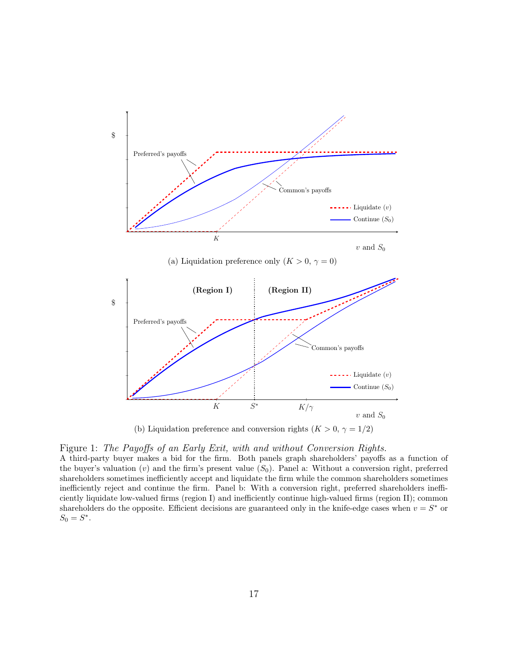

(b) Liquidation preference and conversion rights ( $K > 0$ ,  $\gamma = 1/2$ )

#### Figure 1: The Payoffs of an Early Exit, with and without Conversion Rights.

A third-party buyer makes a bid for the firm. Both panels graph shareholders' payoffs as a function of the buyer's valuation (v) and the firm's present value  $(S_0)$ . Panel a: Without a conversion right, preferred shareholders sometimes inefficiently accept and liquidate the firm while the common shareholders sometimes inefficiently reject and continue the firm. Panel b: With a conversion right, preferred shareholders inefficiently liquidate low-valued firms (region I) and inefficiently continue high-valued firms (region II); common shareholders do the opposite. Efficient decisions are guaranteed only in the knife-edge cases when  $v = S^*$  or  $S_0 = S^*$ .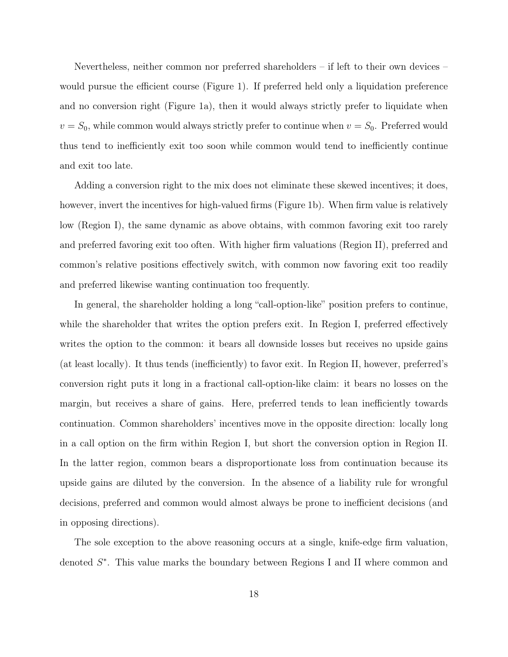Nevertheless, neither common nor preferred shareholders – if left to their own devices – would pursue the efficient course (Figure 1). If preferred held only a liquidation preference and no conversion right (Figure 1a), then it would always strictly prefer to liquidate when  $v = S_0$ , while common would always strictly prefer to continue when  $v = S_0$ . Preferred would thus tend to inefficiently exit too soon while common would tend to inefficiently continue and exit too late.

Adding a conversion right to the mix does not eliminate these skewed incentives; it does, however, invert the incentives for high-valued firms (Figure 1b). When firm value is relatively low (Region I), the same dynamic as above obtains, with common favoring exit too rarely and preferred favoring exit too often. With higher firm valuations (Region II), preferred and common's relative positions effectively switch, with common now favoring exit too readily and preferred likewise wanting continuation too frequently.

In general, the shareholder holding a long "call-option-like" position prefers to continue, while the shareholder that writes the option prefers exit. In Region I, preferred effectively writes the option to the common: it bears all downside losses but receives no upside gains (at least locally). It thus tends (inefficiently) to favor exit. In Region II, however, preferred's conversion right puts it long in a fractional call-option-like claim: it bears no losses on the margin, but receives a share of gains. Here, preferred tends to lean inefficiently towards continuation. Common shareholders' incentives move in the opposite direction: locally long in a call option on the firm within Region I, but short the conversion option in Region II. In the latter region, common bears a disproportionate loss from continuation because its upside gains are diluted by the conversion. In the absence of a liability rule for wrongful decisions, preferred and common would almost always be prone to inefficient decisions (and in opposing directions).

The sole exception to the above reasoning occurs at a single, knife-edge firm valuation, denoted  $S^*$ . This value marks the boundary between Regions I and II where common and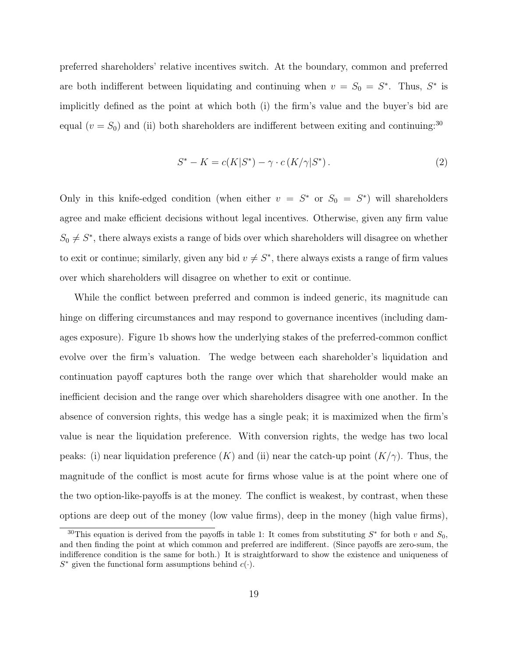preferred shareholders' relative incentives switch. At the boundary, common and preferred are both indifferent between liquidating and continuing when  $v = S_0 = S^*$ . Thus,  $S^*$  is implicitly defined as the point at which both (i) the firm's value and the buyer's bid are equal ( $v = S_0$ ) and (ii) both shareholders are indifferent between exiting and continuing:<sup>30</sup>

$$
S^* - K = c(K|S^*) - \gamma \cdot c(K/\gamma|S^*).
$$
\n(2)

Only in this knife-edged condition (when either  $v = S^*$  or  $S_0 = S^*$ ) will shareholders agree and make efficient decisions without legal incentives. Otherwise, given any firm value  $S_0 \neq S^*$ , there always exists a range of bids over which shareholders will disagree on whether to exit or continue; similarly, given any bid  $v \neq S^*$ , there always exists a range of firm values over which shareholders will disagree on whether to exit or continue.

While the conflict between preferred and common is indeed generic, its magnitude can hinge on differing circumstances and may respond to governance incentives (including damages exposure). Figure 1b shows how the underlying stakes of the preferred-common conflict evolve over the firm's valuation. The wedge between each shareholder's liquidation and continuation payoff captures both the range over which that shareholder would make an inefficient decision and the range over which shareholders disagree with one another. In the absence of conversion rights, this wedge has a single peak; it is maximized when the firm's value is near the liquidation preference. With conversion rights, the wedge has two local peaks: (i) near liquidation preference  $(K)$  and (ii) near the catch-up point  $(K/\gamma)$ . Thus, the magnitude of the conflict is most acute for firms whose value is at the point where one of the two option-like-payoffs is at the money. The conflict is weakest, by contrast, when these options are deep out of the money (low value firms), deep in the money (high value firms),

<sup>&</sup>lt;sup>30</sup>This equation is derived from the payoffs in table 1: It comes from substituting  $S^*$  for both v and  $S_0$ , and then finding the point at which common and preferred are indifferent. (Since payoffs are zero-sum, the indifference condition is the same for both.) It is straightforward to show the existence and uniqueness of  $S^*$  given the functional form assumptions behind  $c(\cdot)$ .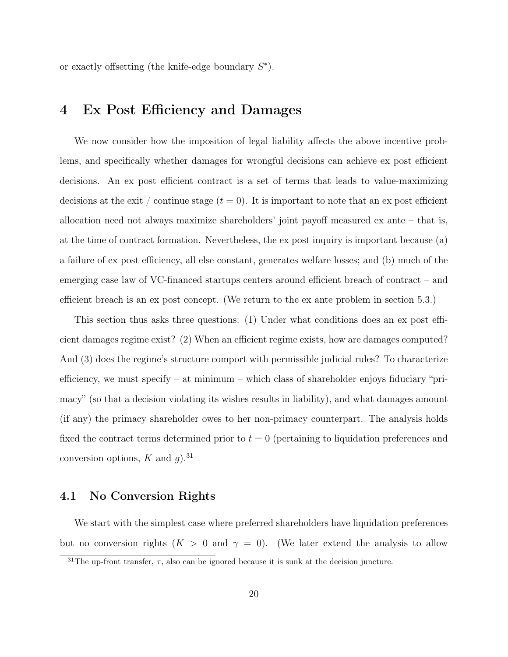or exactly offsetting (the knife-edge boundary  $S^*$ ).

## 4 Ex Post Efficiency and Damages

We now consider how the imposition of legal liability affects the above incentive problems, and specifically whether damages for wrongful decisions can achieve ex post efficient decisions. An ex post efficient contract is a set of terms that leads to value-maximizing decisions at the exit / continue stage  $(t = 0)$ . It is important to note that an ex post efficient allocation need not always maximize shareholders' joint payoff measured ex ante – that is, at the time of contract formation. Nevertheless, the ex post inquiry is important because (a) a failure of ex post efficiency, all else constant, generates welfare losses; and (b) much of the emerging case law of VC-financed startups centers around efficient breach of contract – and efficient breach is an ex post concept. (We return to the ex ante problem in section 5.3.)

This section thus asks three questions: (1) Under what conditions does an ex post efficient damages regime exist? (2) When an efficient regime exists, how are damages computed? And (3) does the regime's structure comport with permissible judicial rules? To characterize efficiency, we must specify – at minimum – which class of shareholder enjoys fiduciary "primacy" (so that a decision violating its wishes results in liability), and what damages amount (if any) the primacy shareholder owes to her non-primacy counterpart. The analysis holds fixed the contract terms determined prior to  $t = 0$  (pertaining to liquidation preferences and conversion options, K and  $q$ ).<sup>31</sup>

#### 4.1 No Conversion Rights

We start with the simplest case where preferred shareholders have liquidation preferences but no conversion rights  $(K > 0 \text{ and } \gamma = 0)$ . (We later extend the analysis to allow

<sup>&</sup>lt;sup>31</sup>The up-front transfer,  $\tau$ , also can be ignored because it is sunk at the decision juncture.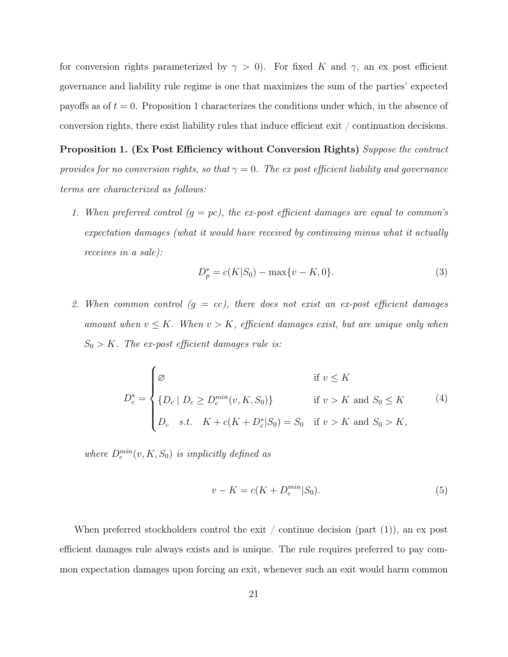for conversion rights parameterized by  $\gamma > 0$ ). For fixed K and  $\gamma$ , an ex post efficient governance and liability rule regime is one that maximizes the sum of the parties' expected payoffs as of  $t = 0$ . Proposition 1 characterizes the conditions under which, in the absence of conversion rights, there exist liability rules that induce efficient exit / continuation decisions.

Proposition 1. (Ex Post Efficiency without Conversion Rights) Suppose the contract provides for no conversion rights, so that  $\gamma = 0$ . The expost efficient liability and governance terms are characterized as follows:

1. When preferred control  $(g = pc)$ , the ex-post efficient damages are equal to common's expectation damages (what it would have received by continuing minus what it actually receives in a sale):

$$
D_p^* = c(K|S_0) - \max\{v - K, 0\}.
$$
\n(3)

2. When common control  $(g = cc)$ , there does not exist an ex-post efficient damages amount when  $v \leq K$ . When  $v > K$ , efficient damages exist, but are unique only when  $S_0 > K$ . The ex-post efficient damages rule is:

$$
D_c^* = \begin{cases} \varnothing & \text{if } v \leq K \\ \{D_c \mid D_c \geq D_c^{min}(v, K, S_0)\} & \text{if } v > K \text{ and } S_0 \leq K \\ D_c & s.t. \quad K + c(K + D_c^* | S_0) = S_0 & \text{if } v > K \text{ and } S_0 > K, \end{cases}
$$
 (4)

where  $D_c^{min}(v, K, S_0)$  is implicitly defined as

$$
v - K = c(K + D_c^{min}|S_0).
$$
\n(5)

When preferred stockholders control the exit / continue decision (part  $(1)$ ), an ex post efficient damages rule always exists and is unique. The rule requires preferred to pay common expectation damages upon forcing an exit, whenever such an exit would harm common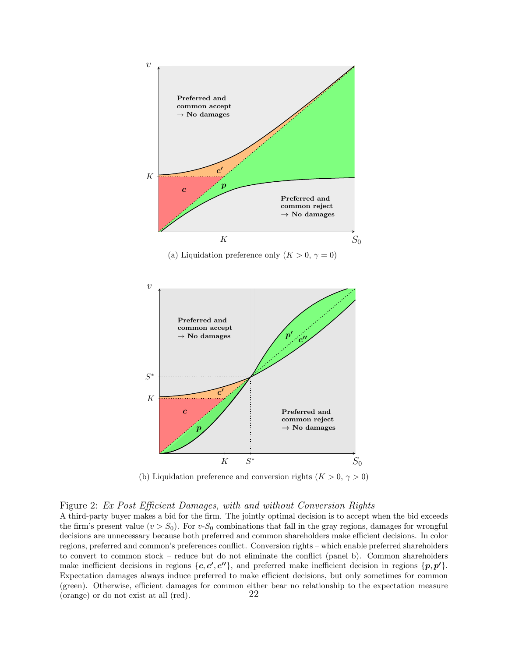

(a) Liquidation preference only  $(K > 0, \gamma = 0)$ 



(b) Liquidation preference and conversion rights ( $K > 0, \gamma > 0$ )

#### Figure 2: Ex Post Efficient Damages, with and without Conversion Rights

A third-party buyer makes a bid for the firm. The jointly optimal decision is to accept when the bid exceeds the firm's present value  $(v > S_0)$ . For v-S<sub>0</sub> combinations that fall in the gray regions, damages for wrongful decisions are unnecessary because both preferred and common shareholders make efficient decisions. In color regions, preferred and common's preferences conflict. Conversion rights – which enable preferred shareholders to convert to common stock – reduce but do not eliminate the conflict (panel b). Common shareholders make inefficient decisions in regions  $\{c, c', c''\}$ , and preferred make inefficient decision in regions  $\{p, p'\}$ . Expectation damages always induce preferred to make efficient decisions, but only sometimes for common (green). Otherwise, efficient damages for common either bear no relationship to the expectation measure (orange) or do not exist at all (red). 22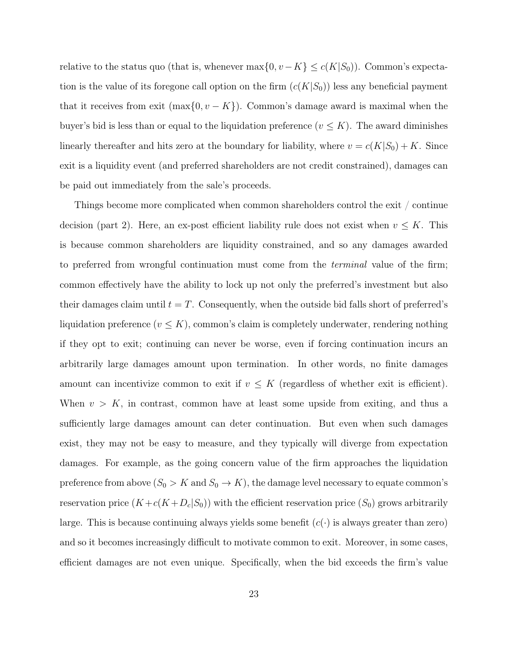relative to the status quo (that is, whenever  $\max\{0, v - K\} \le c(K|S_0)$ ). Common's expectation is the value of its foregone call option on the firm  $(c(K|S_0))$  less any beneficial payment that it receives from exit  $(\max\{0, v - K\})$ . Common's damage award is maximal when the buyer's bid is less than or equal to the liquidation preference  $(v \leq K)$ . The award diminishes linearly thereafter and hits zero at the boundary for liability, where  $v = c(K|S_0) + K$ . Since exit is a liquidity event (and preferred shareholders are not credit constrained), damages can be paid out immediately from the sale's proceeds.

Things become more complicated when common shareholders control the exit / continue decision (part 2). Here, an ex-post efficient liability rule does not exist when  $v \leq K$ . This is because common shareholders are liquidity constrained, and so any damages awarded to preferred from wrongful continuation must come from the terminal value of the firm; common effectively have the ability to lock up not only the preferred's investment but also their damages claim until  $t = T$ . Consequently, when the outside bid falls short of preferred's liquidation preference  $(v \leq K)$ , common's claim is completely underwater, rendering nothing if they opt to exit; continuing can never be worse, even if forcing continuation incurs an arbitrarily large damages amount upon termination. In other words, no finite damages amount can incentivize common to exit if  $v \leq K$  (regardless of whether exit is efficient). When  $v > K$ , in contrast, common have at least some upside from exiting, and thus a sufficiently large damages amount can deter continuation. But even when such damages exist, they may not be easy to measure, and they typically will diverge from expectation damages. For example, as the going concern value of the firm approaches the liquidation preference from above  $(S_0 > K \text{ and } S_0 \to K)$ , the damage level necessary to equate common's reservation price  $(K + c(K + D_c | S_0))$  with the efficient reservation price  $(S_0)$  grows arbitrarily large. This is because continuing always yields some benefit  $(c(\cdot))$  is always greater than zero) and so it becomes increasingly difficult to motivate common to exit. Moreover, in some cases, efficient damages are not even unique. Specifically, when the bid exceeds the firm's value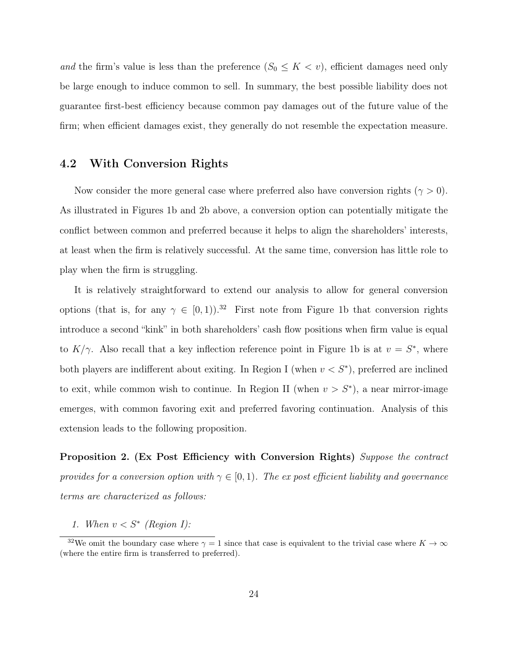and the firm's value is less than the preference  $(S_0 \leq K \lt v)$ , efficient damages need only be large enough to induce common to sell. In summary, the best possible liability does not guarantee first-best efficiency because common pay damages out of the future value of the firm; when efficient damages exist, they generally do not resemble the expectation measure.

#### 4.2 With Conversion Rights

Now consider the more general case where preferred also have conversion rights ( $\gamma > 0$ ). As illustrated in Figures 1b and 2b above, a conversion option can potentially mitigate the conflict between common and preferred because it helps to align the shareholders' interests, at least when the firm is relatively successful. At the same time, conversion has little role to play when the firm is struggling.

It is relatively straightforward to extend our analysis to allow for general conversion options (that is, for any  $\gamma \in [0, 1)$ ).<sup>32</sup> First note from Figure 1b that conversion rights introduce a second "kink" in both shareholders' cash flow positions when firm value is equal to  $K/\gamma$ . Also recall that a key inflection reference point in Figure 1b is at  $v = S^*$ , where both players are indifferent about exiting. In Region I (when  $v < S^*$ ), preferred are inclined to exit, while common wish to continue. In Region II (when  $v > S^*$ ), a near mirror-image emerges, with common favoring exit and preferred favoring continuation. Analysis of this extension leads to the following proposition.

Proposition 2. (Ex Post Efficiency with Conversion Rights) Suppose the contract provides for a conversion option with  $\gamma \in [0,1)$ . The expost efficient liability and governance terms are characterized as follows:

1. When  $v < S^*$  (Region I):

<sup>&</sup>lt;sup>32</sup>We omit the boundary case where  $\gamma = 1$  since that case is equivalent to the trivial case where  $K \to \infty$ (where the entire firm is transferred to preferred).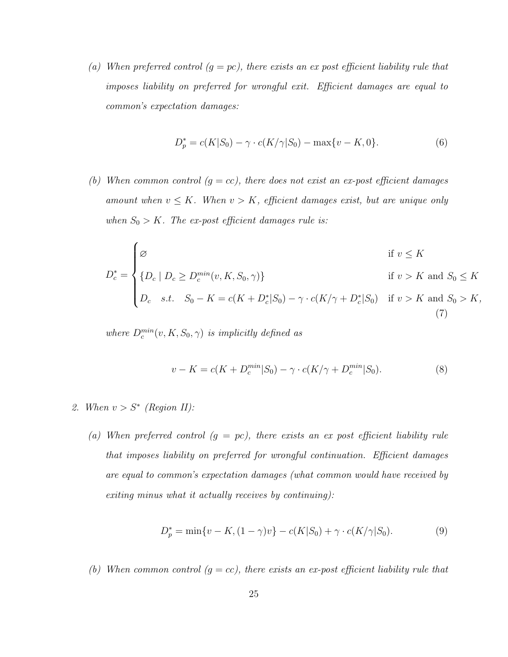(a) When preferred control  $(g = pc)$ , there exists an ex post efficient liability rule that imposes liability on preferred for wrongful exit. Efficient damages are equal to common's expectation damages:

$$
D_p^* = c(K|S_0) - \gamma \cdot c(K/\gamma|S_0) - \max\{v - K, 0\}.
$$
 (6)

(b) When common control  $(g = cc)$ , there does not exist an ex-post efficient damages amount when  $v \leq K$ . When  $v > K$ , efficient damages exist, but are unique only when  $S_0 > K$ . The ex-post efficient damages rule is:

$$
D_c^* = \begin{cases} \varnothing & \text{if } v \le K \\ \{D_c \mid D_c \ge D_c^{min}(v, K, S_0, \gamma)\} & \text{if } v > K \text{ and } S_0 \le K \\ D_c & s.t. \quad S_0 - K = c(K + D_c^* | S_0) - \gamma \cdot c(K/\gamma + D_c^* | S_0) & \text{if } v > K \text{ and } S_0 > K, \end{cases}
$$
(7)

where  $D_c^{min}(v, K, S_0, \gamma)$  is implicitly defined as

$$
v - K = c(K + D_c^{min}|S_0) - \gamma \cdot c(K/\gamma + D_c^{min}|S_0).
$$
\n(8)

- 2. When  $v > S^*$  (Region II):
	- (a) When preferred control  $(g = pc)$ , there exists an ex post efficient liability rule that imposes liability on preferred for wrongful continuation. Efficient damages are equal to common's expectation damages (what common would have received by exiting minus what it actually receives by continuing):

$$
D_p^* = \min\{v - K, (1 - \gamma)v\} - c(K|S_0) + \gamma \cdot c(K/\gamma|S_0). \tag{9}
$$

(b) When common control  $(g = cc)$ , there exists an ex-post efficient liability rule that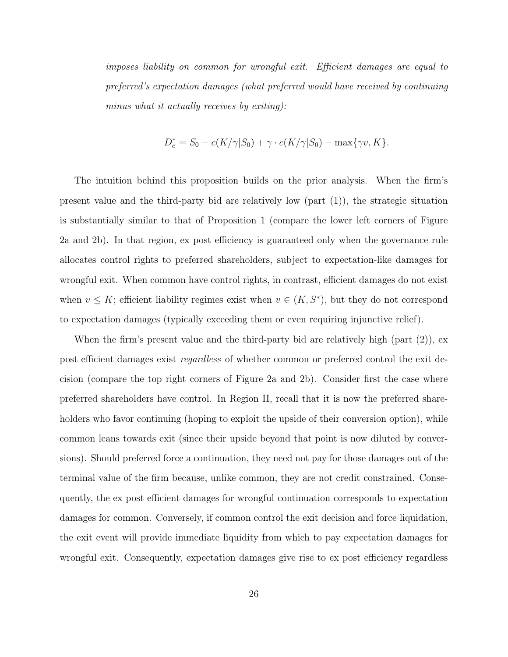imposes liability on common for wrongful exit. Efficient damages are equal to preferred's expectation damages (what preferred would have received by continuing minus what it actually receives by exiting):

$$
D_c^* = S_0 - c(K/\gamma|S_0) + \gamma \cdot c(K/\gamma|S_0) - \max\{\gamma v, K\}.
$$

The intuition behind this proposition builds on the prior analysis. When the firm's present value and the third-party bid are relatively low (part (1)), the strategic situation is substantially similar to that of Proposition 1 (compare the lower left corners of Figure 2a and 2b). In that region, ex post efficiency is guaranteed only when the governance rule allocates control rights to preferred shareholders, subject to expectation-like damages for wrongful exit. When common have control rights, in contrast, efficient damages do not exist when  $v \leq K$ ; efficient liability regimes exist when  $v \in (K, S^*)$ , but they do not correspond to expectation damages (typically exceeding them or even requiring injunctive relief).

When the firm's present value and the third-party bid are relatively high (part (2)), ex post efficient damages exist regardless of whether common or preferred control the exit decision (compare the top right corners of Figure 2a and 2b). Consider first the case where preferred shareholders have control. In Region II, recall that it is now the preferred shareholders who favor continuing (hoping to exploit the upside of their conversion option), while common leans towards exit (since their upside beyond that point is now diluted by conversions). Should preferred force a continuation, they need not pay for those damages out of the terminal value of the firm because, unlike common, they are not credit constrained. Consequently, the ex post efficient damages for wrongful continuation corresponds to expectation damages for common. Conversely, if common control the exit decision and force liquidation, the exit event will provide immediate liquidity from which to pay expectation damages for wrongful exit. Consequently, expectation damages give rise to ex post efficiency regardless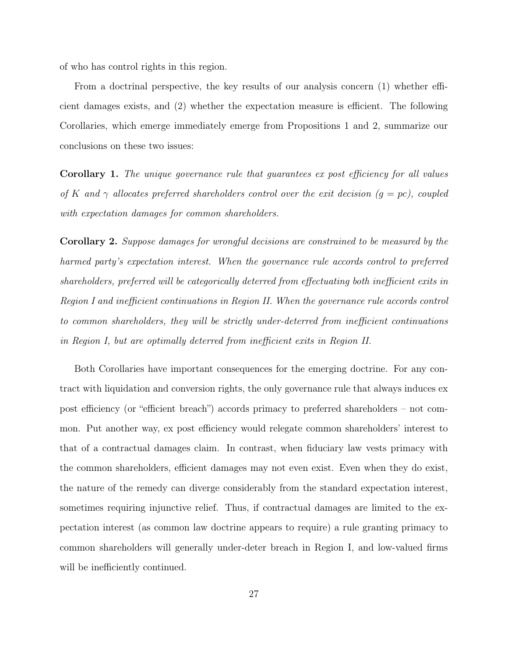of who has control rights in this region.

From a doctrinal perspective, the key results of our analysis concern (1) whether efficient damages exists, and (2) whether the expectation measure is efficient. The following Corollaries, which emerge immediately emerge from Propositions 1 and 2, summarize our conclusions on these two issues:

Corollary 1. The unique governance rule that quarantees ex post efficiency for all values of K and  $\gamma$  allocates preferred shareholders control over the exit decision  $(g = pc)$ , coupled with expectation damages for common shareholders.

Corollary 2. Suppose damages for wrongful decisions are constrained to be measured by the harmed party's expectation interest. When the governance rule accords control to preferred shareholders, preferred will be categorically deterred from effectuating both inefficient exits in Region I and inefficient continuations in Region II. When the governance rule accords control to common shareholders, they will be strictly under-deterred from inefficient continuations in Region I, but are optimally deterred from inefficient exits in Region II.

Both Corollaries have important consequences for the emerging doctrine. For any contract with liquidation and conversion rights, the only governance rule that always induces ex post efficiency (or "efficient breach") accords primacy to preferred shareholders – not common. Put another way, ex post efficiency would relegate common shareholders' interest to that of a contractual damages claim. In contrast, when fiduciary law vests primacy with the common shareholders, efficient damages may not even exist. Even when they do exist, the nature of the remedy can diverge considerably from the standard expectation interest, sometimes requiring injunctive relief. Thus, if contractual damages are limited to the expectation interest (as common law doctrine appears to require) a rule granting primacy to common shareholders will generally under-deter breach in Region I, and low-valued firms will be inefficiently continued.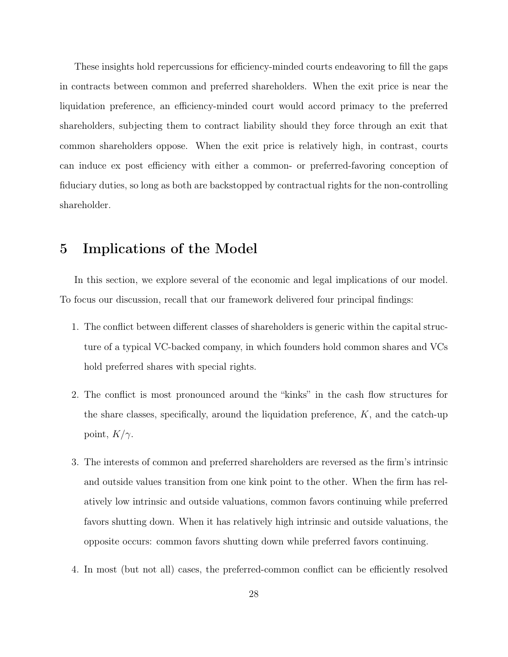These insights hold repercussions for efficiency-minded courts endeavoring to fill the gaps in contracts between common and preferred shareholders. When the exit price is near the liquidation preference, an efficiency-minded court would accord primacy to the preferred shareholders, subjecting them to contract liability should they force through an exit that common shareholders oppose. When the exit price is relatively high, in contrast, courts can induce ex post efficiency with either a common- or preferred-favoring conception of fiduciary duties, so long as both are backstopped by contractual rights for the non-controlling shareholder.

## 5 Implications of the Model

In this section, we explore several of the economic and legal implications of our model. To focus our discussion, recall that our framework delivered four principal findings:

- 1. The conflict between different classes of shareholders is generic within the capital structure of a typical VC-backed company, in which founders hold common shares and VCs hold preferred shares with special rights.
- 2. The conflict is most pronounced around the "kinks" in the cash flow structures for the share classes, specifically, around the liquidation preference,  $K$ , and the catch-up point,  $K/\gamma$ .
- 3. The interests of common and preferred shareholders are reversed as the firm's intrinsic and outside values transition from one kink point to the other. When the firm has relatively low intrinsic and outside valuations, common favors continuing while preferred favors shutting down. When it has relatively high intrinsic and outside valuations, the opposite occurs: common favors shutting down while preferred favors continuing.
- 4. In most (but not all) cases, the preferred-common conflict can be efficiently resolved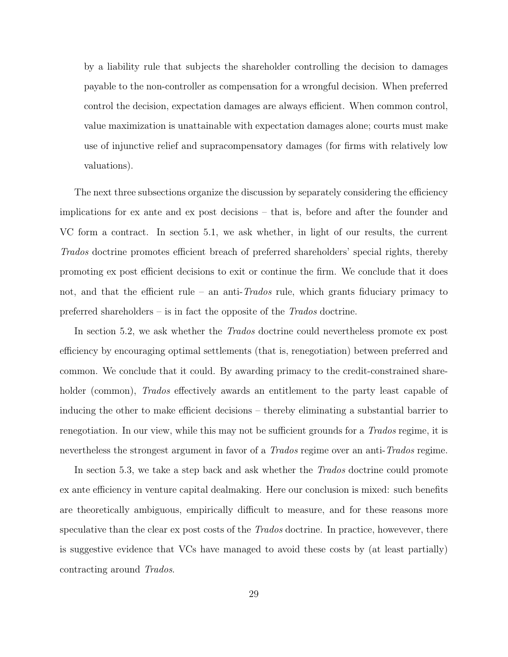by a liability rule that subjects the shareholder controlling the decision to damages payable to the non-controller as compensation for a wrongful decision. When preferred control the decision, expectation damages are always efficient. When common control, value maximization is unattainable with expectation damages alone; courts must make use of injunctive relief and supracompensatory damages (for firms with relatively low valuations).

The next three subsections organize the discussion by separately considering the efficiency implications for ex ante and ex post decisions – that is, before and after the founder and VC form a contract. In section 5.1, we ask whether, in light of our results, the current Trados doctrine promotes efficient breach of preferred shareholders' special rights, thereby promoting ex post efficient decisions to exit or continue the firm. We conclude that it does not, and that the efficient rule – an anti- $Trados$  rule, which grants fiduciary primacy to preferred shareholders – is in fact the opposite of the Trados doctrine.

In section 5.2, we ask whether the *Trados* doctrine could nevertheless promote ex post efficiency by encouraging optimal settlements (that is, renegotiation) between preferred and common. We conclude that it could. By awarding primacy to the credit-constrained shareholder (common), *Trados* effectively awards an entitlement to the party least capable of inducing the other to make efficient decisions – thereby eliminating a substantial barrier to renegotiation. In our view, while this may not be sufficient grounds for a *Trados* regime, it is nevertheless the strongest argument in favor of a *Trados* regime over an anti-Trados regime.

In section 5.3, we take a step back and ask whether the *Trados* doctrine could promote ex ante efficiency in venture capital dealmaking. Here our conclusion is mixed: such benefits are theoretically ambiguous, empirically difficult to measure, and for these reasons more speculative than the clear ex post costs of the *Trados* doctrine. In practice, howevever, there is suggestive evidence that VCs have managed to avoid these costs by (at least partially) contracting around Trados.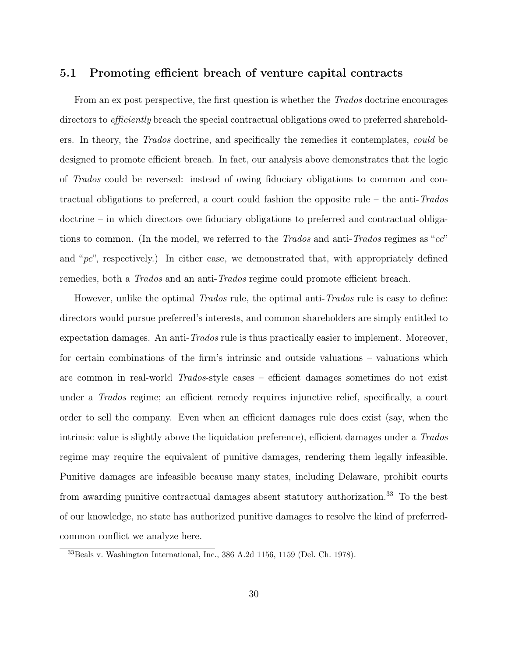#### 5.1 Promoting efficient breach of venture capital contracts

From an ex post perspective, the first question is whether the *Trados* doctrine encourages directors to efficiently breach the special contractual obligations owed to preferred shareholders. In theory, the Trados doctrine, and specifically the remedies it contemplates, could be designed to promote efficient breach. In fact, our analysis above demonstrates that the logic of Trados could be reversed: instead of owing fiduciary obligations to common and contractual obligations to preferred, a court could fashion the opposite rule – the anti-Trados doctrine – in which directors owe fiduciary obligations to preferred and contractual obligations to common. (In the model, we referred to the Trados and anti-Trados regimes as " $cc$ " and " $pc$ ", respectively.) In either case, we demonstrated that, with appropriately defined remedies, both a *Trados* and an anti-*Trados* regime could promote efficient breach.

However, unlike the optimal *Trados* rule, the optimal anti-*Trados* rule is easy to define: directors would pursue preferred's interests, and common shareholders are simply entitled to expectation damages. An anti-Trados rule is thus practically easier to implement. Moreover, for certain combinations of the firm's intrinsic and outside valuations – valuations which are common in real-world Trados-style cases – efficient damages sometimes do not exist under a Trados regime; an efficient remedy requires injunctive relief, specifically, a court order to sell the company. Even when an efficient damages rule does exist (say, when the intrinsic value is slightly above the liquidation preference), efficient damages under a Trados regime may require the equivalent of punitive damages, rendering them legally infeasible. Punitive damages are infeasible because many states, including Delaware, prohibit courts from awarding punitive contractual damages absent statutory authorization.<sup>33</sup> To the best of our knowledge, no state has authorized punitive damages to resolve the kind of preferredcommon conflict we analyze here.

<sup>33</sup>Beals v. Washington International, Inc., 386 A.2d 1156, 1159 (Del. Ch. 1978).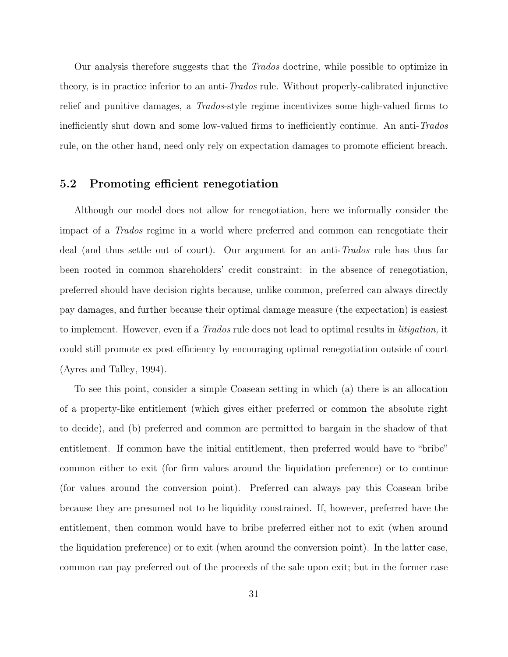Our analysis therefore suggests that the *Trados* doctrine, while possible to optimize in theory, is in practice inferior to an anti-Trados rule. Without properly-calibrated injunctive relief and punitive damages, a Trados-style regime incentivizes some high-valued firms to inefficiently shut down and some low-valued firms to inefficiently continue. An anti-Trados rule, on the other hand, need only rely on expectation damages to promote efficient breach.

#### 5.2 Promoting efficient renegotiation

Although our model does not allow for renegotiation, here we informally consider the impact of a Trados regime in a world where preferred and common can renegotiate their deal (and thus settle out of court). Our argument for an anti-Trados rule has thus far been rooted in common shareholders' credit constraint: in the absence of renegotiation, preferred should have decision rights because, unlike common, preferred can always directly pay damages, and further because their optimal damage measure (the expectation) is easiest to implement. However, even if a *Trados* rule does not lead to optimal results in *litigation*, it could still promote ex post efficiency by encouraging optimal renegotiation outside of court (Ayres and Talley, 1994).

To see this point, consider a simple Coasean setting in which (a) there is an allocation of a property-like entitlement (which gives either preferred or common the absolute right to decide), and (b) preferred and common are permitted to bargain in the shadow of that entitlement. If common have the initial entitlement, then preferred would have to "bribe" common either to exit (for firm values around the liquidation preference) or to continue (for values around the conversion point). Preferred can always pay this Coasean bribe because they are presumed not to be liquidity constrained. If, however, preferred have the entitlement, then common would have to bribe preferred either not to exit (when around the liquidation preference) or to exit (when around the conversion point). In the latter case, common can pay preferred out of the proceeds of the sale upon exit; but in the former case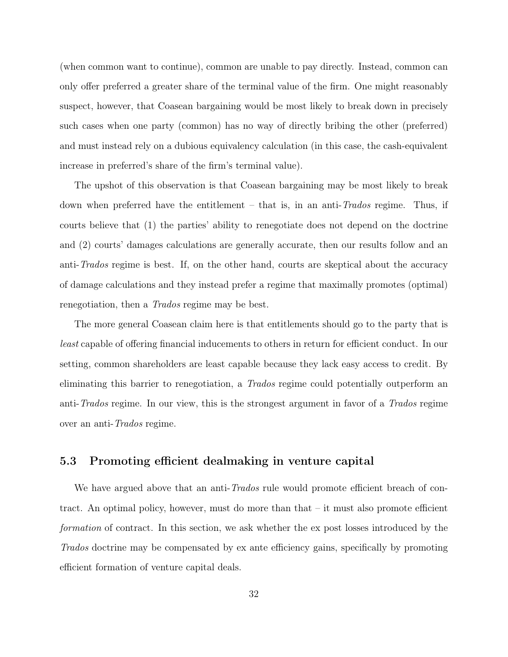(when common want to continue), common are unable to pay directly. Instead, common can only offer preferred a greater share of the terminal value of the firm. One might reasonably suspect, however, that Coasean bargaining would be most likely to break down in precisely such cases when one party (common) has no way of directly bribing the other (preferred) and must instead rely on a dubious equivalency calculation (in this case, the cash-equivalent increase in preferred's share of the firm's terminal value).

The upshot of this observation is that Coasean bargaining may be most likely to break down when preferred have the entitlement – that is, in an anti- $Trados$  regime. Thus, if courts believe that (1) the parties' ability to renegotiate does not depend on the doctrine and (2) courts' damages calculations are generally accurate, then our results follow and an anti-Trados regime is best. If, on the other hand, courts are skeptical about the accuracy of damage calculations and they instead prefer a regime that maximally promotes (optimal) renegotiation, then a Trados regime may be best.

The more general Coasean claim here is that entitlements should go to the party that is least capable of offering financial inducements to others in return for efficient conduct. In our setting, common shareholders are least capable because they lack easy access to credit. By eliminating this barrier to renegotiation, a Trados regime could potentially outperform an anti-Trados regime. In our view, this is the strongest argument in favor of a Trados regime over an anti-Trados regime.

#### 5.3 Promoting efficient dealmaking in venture capital

We have argued above that an anti-*Trados* rule would promote efficient breach of contract. An optimal policy, however, must do more than that – it must also promote efficient formation of contract. In this section, we ask whether the ex post losses introduced by the Trados doctrine may be compensated by ex ante efficiency gains, specifically by promoting efficient formation of venture capital deals.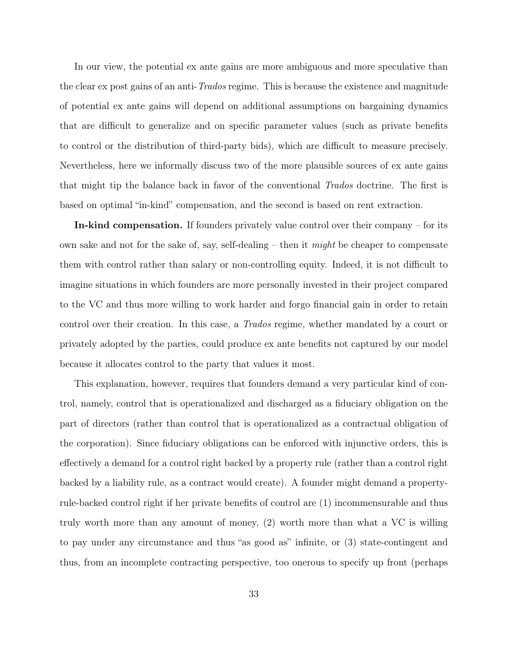In our view, the potential ex ante gains are more ambiguous and more speculative than the clear ex post gains of an anti-Trados regime. This is because the existence and magnitude of potential ex ante gains will depend on additional assumptions on bargaining dynamics that are difficult to generalize and on specific parameter values (such as private benefits to control or the distribution of third-party bids), which are difficult to measure precisely. Nevertheless, here we informally discuss two of the more plausible sources of ex ante gains that might tip the balance back in favor of the conventional Trados doctrine. The first is based on optimal "in-kind" compensation, and the second is based on rent extraction.

In-kind compensation. If founders privately value control over their company – for its own sake and not for the sake of, say, self-dealing – then it *might* be cheaper to compensate them with control rather than salary or non-controlling equity. Indeed, it is not difficult to imagine situations in which founders are more personally invested in their project compared to the VC and thus more willing to work harder and forgo financial gain in order to retain control over their creation. In this case, a Trados regime, whether mandated by a court or privately adopted by the parties, could produce ex ante benefits not captured by our model because it allocates control to the party that values it most.

This explanation, however, requires that founders demand a very particular kind of control, namely, control that is operationalized and discharged as a fiduciary obligation on the part of directors (rather than control that is operationalized as a contractual obligation of the corporation). Since fiduciary obligations can be enforced with injunctive orders, this is effectively a demand for a control right backed by a property rule (rather than a control right backed by a liability rule, as a contract would create). A founder might demand a propertyrule-backed control right if her private benefits of control are (1) incommensurable and thus truly worth more than any amount of money, (2) worth more than what a VC is willing to pay under any circumstance and thus "as good as" infinite, or (3) state-contingent and thus, from an incomplete contracting perspective, too onerous to specify up front (perhaps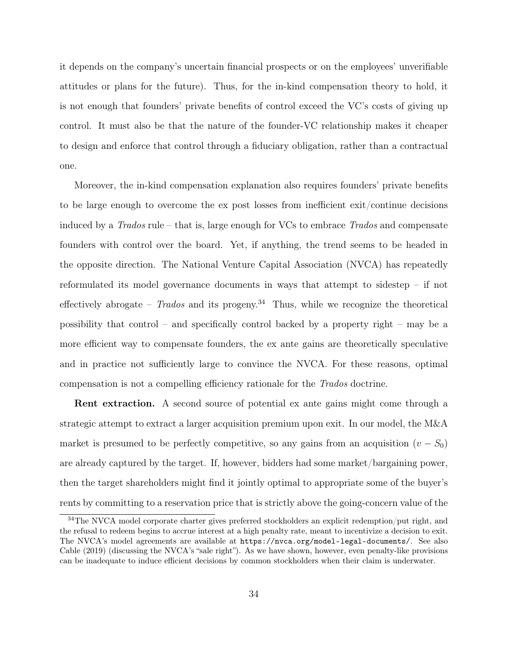it depends on the company's uncertain financial prospects or on the employees' unverifiable attitudes or plans for the future). Thus, for the in-kind compensation theory to hold, it is not enough that founders' private benefits of control exceed the VC's costs of giving up control. It must also be that the nature of the founder-VC relationship makes it cheaper to design and enforce that control through a fiduciary obligation, rather than a contractual one.

Moreover, the in-kind compensation explanation also requires founders' private benefits to be large enough to overcome the ex post losses from inefficient exit/continue decisions induced by a  $Trados$  rule – that is, large enough for VCs to embrace  $Trados$  and compensate founders with control over the board. Yet, if anything, the trend seems to be headed in the opposite direction. The National Venture Capital Association (NVCA) has repeatedly reformulated its model governance documents in ways that attempt to sidestep – if not effectively abrogate –  $Trados$  and its progeny.<sup>34</sup> Thus, while we recognize the theoretical possibility that control – and specifically control backed by a property right – may be a more efficient way to compensate founders, the ex ante gains are theoretically speculative and in practice not sufficiently large to convince the NVCA. For these reasons, optimal compensation is not a compelling efficiency rationale for the Trados doctrine.

Rent extraction. A second source of potential ex ante gains might come through a strategic attempt to extract a larger acquisition premium upon exit. In our model, the M&A market is presumed to be perfectly competitive, so any gains from an acquisition  $(v - S_0)$ are already captured by the target. If, however, bidders had some market/bargaining power, then the target shareholders might find it jointly optimal to appropriate some of the buyer's rents by committing to a reservation price that is strictly above the going-concern value of the

<sup>&</sup>lt;sup>34</sup>The NVCA model corporate charter gives preferred stockholders an explicit redemption/put right, and the refusal to redeem begins to accrue interest at a high penalty rate, meant to incentivize a decision to exit. The NVCA's model agreements are available at https://nvca.org/model-legal-documents/. See also Cable (2019) (discussing the NVCA's "sale right"). As we have shown, however, even penalty-like provisions can be inadequate to induce efficient decisions by common stockholders when their claim is underwater.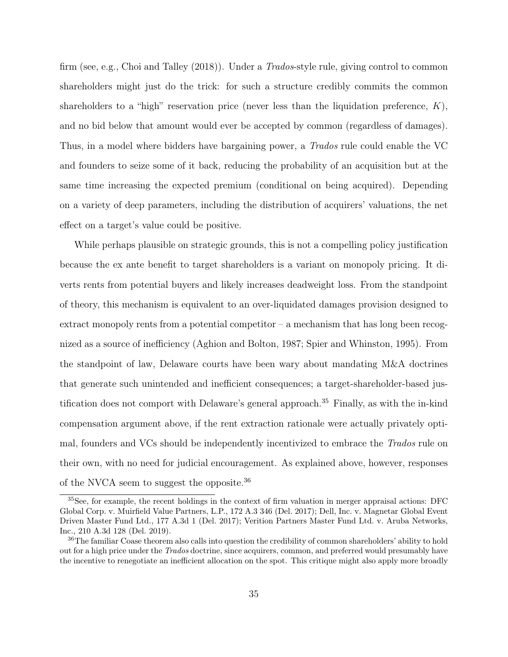firm (see, e.g., Choi and Talley (2018)). Under a Trados-style rule, giving control to common shareholders might just do the trick: for such a structure credibly commits the common shareholders to a "high" reservation price (never less than the liquidation preference,  $K$ ), and no bid below that amount would ever be accepted by common (regardless of damages). Thus, in a model where bidders have bargaining power, a Trados rule could enable the VC and founders to seize some of it back, reducing the probability of an acquisition but at the same time increasing the expected premium (conditional on being acquired). Depending on a variety of deep parameters, including the distribution of acquirers' valuations, the net effect on a target's value could be positive.

While perhaps plausible on strategic grounds, this is not a compelling policy justification because the ex ante benefit to target shareholders is a variant on monopoly pricing. It diverts rents from potential buyers and likely increases deadweight loss. From the standpoint of theory, this mechanism is equivalent to an over-liquidated damages provision designed to extract monopoly rents from a potential competitor  $-$  a mechanism that has long been recognized as a source of inefficiency (Aghion and Bolton, 1987; Spier and Whinston, 1995). From the standpoint of law, Delaware courts have been wary about mandating M&A doctrines that generate such unintended and inefficient consequences; a target-shareholder-based justification does not comport with Delaware's general approach.<sup>35</sup> Finally, as with the in-kind compensation argument above, if the rent extraction rationale were actually privately optimal, founders and VCs should be independently incentivized to embrace the *Trados* rule on their own, with no need for judicial encouragement. As explained above, however, responses of the NVCA seem to suggest the opposite.<sup>36</sup>

<sup>35</sup>See, for example, the recent holdings in the context of firm valuation in merger appraisal actions: DFC Global Corp. v. Muirfield Value Partners, L.P., 172 A.3 346 (Del. 2017); Dell, Inc. v. Magnetar Global Event Driven Master Fund Ltd., 177 A.3d 1 (Del. 2017); Verition Partners Master Fund Ltd. v. Aruba Networks, Inc., 210 A.3d 128 (Del. 2019).

<sup>&</sup>lt;sup>36</sup>The familiar Coase theorem also calls into question the credibility of common shareholders' ability to hold out for a high price under the Trados doctrine, since acquirers, common, and preferred would presumably have the incentive to renegotiate an inefficient allocation on the spot. This critique might also apply more broadly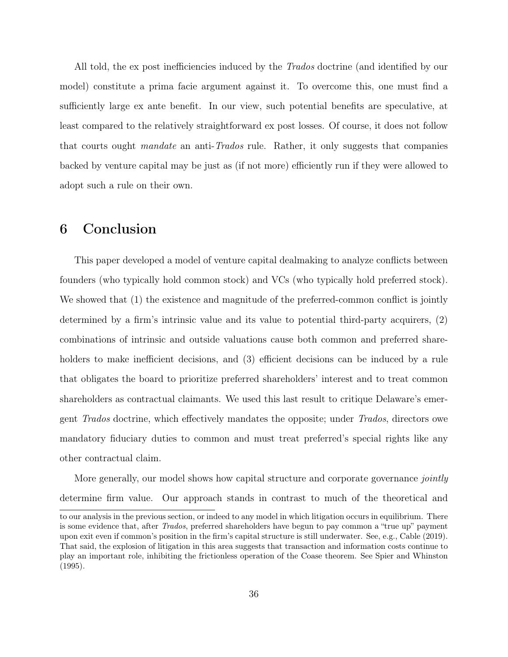All told, the ex post inefficiencies induced by the *Trados* doctrine (and identified by our model) constitute a prima facie argument against it. To overcome this, one must find a sufficiently large ex ante benefit. In our view, such potential benefits are speculative, at least compared to the relatively straightforward ex post losses. Of course, it does not follow that courts ought mandate an anti-Trados rule. Rather, it only suggests that companies backed by venture capital may be just as (if not more) efficiently run if they were allowed to adopt such a rule on their own.

## 6 Conclusion

This paper developed a model of venture capital dealmaking to analyze conflicts between founders (who typically hold common stock) and VCs (who typically hold preferred stock). We showed that (1) the existence and magnitude of the preferred-common conflict is jointly determined by a firm's intrinsic value and its value to potential third-party acquirers, (2) combinations of intrinsic and outside valuations cause both common and preferred shareholders to make inefficient decisions, and (3) efficient decisions can be induced by a rule that obligates the board to prioritize preferred shareholders' interest and to treat common shareholders as contractual claimants. We used this last result to critique Delaware's emergent Trados doctrine, which effectively mandates the opposite; under Trados, directors owe mandatory fiduciary duties to common and must treat preferred's special rights like any other contractual claim.

More generally, our model shows how capital structure and corporate governance *jointly* determine firm value. Our approach stands in contrast to much of the theoretical and to our analysis in the previous section, or indeed to any model in which litigation occurs in equilibrium. There is some evidence that, after Trados, preferred shareholders have begun to pay common a "true up" payment upon exit even if common's position in the firm's capital structure is still underwater. See, e.g., Cable (2019). That said, the explosion of litigation in this area suggests that transaction and information costs continue to play an important role, inhibiting the frictionless operation of the Coase theorem. See Spier and Whinston (1995).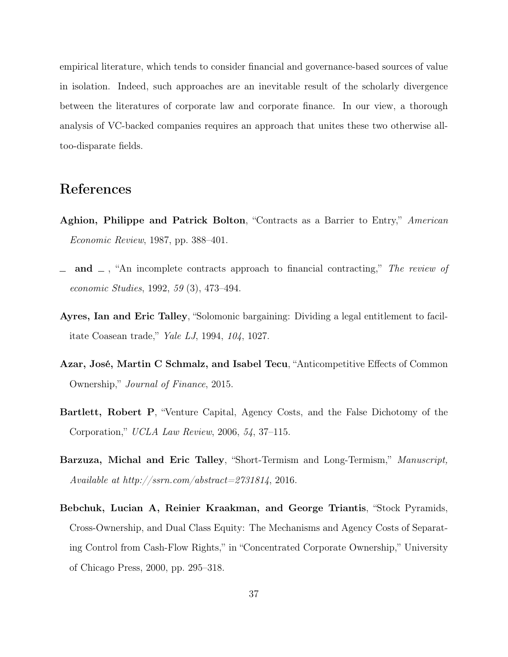empirical literature, which tends to consider financial and governance-based sources of value in isolation. Indeed, such approaches are an inevitable result of the scholarly divergence between the literatures of corporate law and corporate finance. In our view, a thorough analysis of VC-backed companies requires an approach that unites these two otherwise alltoo-disparate fields.

## References

- Aghion, Philippe and Patrick Bolton, "Contracts as a Barrier to Entry," American Economic Review, 1987, pp. 388–401.
- and  $\Box$ , "An incomplete contracts approach to financial contracting," The review of economic Studies, 1992, 59 (3), 473–494.
- Ayres, Ian and Eric Talley, "Solomonic bargaining: Dividing a legal entitlement to facilitate Coasean trade," Yale LJ, 1994, 104, 1027.
- Azar, José, Martin C Schmalz, and Isabel Tecu, "Anticompetitive Effects of Common Ownership," Journal of Finance, 2015.
- Bartlett, Robert P, "Venture Capital, Agency Costs, and the False Dichotomy of the Corporation," UCLA Law Review, 2006, 54, 37–115.
- Barzuza, Michal and Eric Talley, "Short-Termism and Long-Termism," Manuscript, Available at http://ssrn.com/abstract=2731814, 2016.
- Bebchuk, Lucian A, Reinier Kraakman, and George Triantis, "Stock Pyramids, Cross-Ownership, and Dual Class Equity: The Mechanisms and Agency Costs of Separating Control from Cash-Flow Rights," in "Concentrated Corporate Ownership," University of Chicago Press, 2000, pp. 295–318.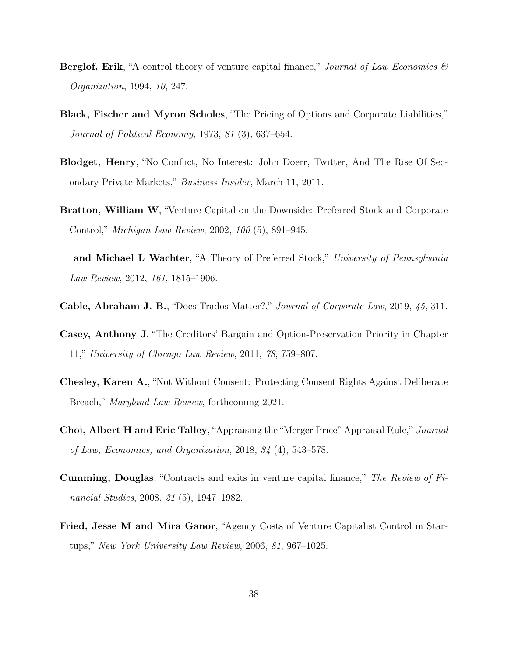- **Berglof, Erik**, "A control theory of venture capital finance," *Journal of Law Economics*  $\mathcal{B}$ Organization, 1994, 10, 247.
- Black, Fischer and Myron Scholes, "The Pricing of Options and Corporate Liabilities," Journal of Political Economy, 1973, 81 (3), 637–654.
- Blodget, Henry, "No Conflict, No Interest: John Doerr, Twitter, And The Rise Of Secondary Private Markets," Business Insider, March 11, 2011.
- Bratton, William W, "Venture Capital on the Downside: Preferred Stock and Corporate Control," Michigan Law Review, 2002, 100 (5), 891–945.
- and Michael L Wachter, "A Theory of Preferred Stock," University of Pennsylvania Law Review, 2012, 161, 1815–1906.
- Cable, Abraham J. B., "Does Trados Matter?," Journal of Corporate Law, 2019, 45, 311.
- Casey, Anthony J, "The Creditors' Bargain and Option-Preservation Priority in Chapter 11," University of Chicago Law Review, 2011, 78, 759–807.
- Chesley, Karen A., "Not Without Consent: Protecting Consent Rights Against Deliberate Breach," Maryland Law Review, forthcoming 2021.
- Choi, Albert H and Eric Talley, "Appraising the "Merger Price" Appraisal Rule," Journal of Law, Economics, and Organization, 2018, 34 (4), 543–578.
- Cumming, Douglas, "Contracts and exits in venture capital finance," The Review of Financial Studies, 2008, 21 (5), 1947–1982.
- Fried, Jesse M and Mira Ganor, "Agency Costs of Venture Capitalist Control in Startups," New York University Law Review, 2006, 81, 967–1025.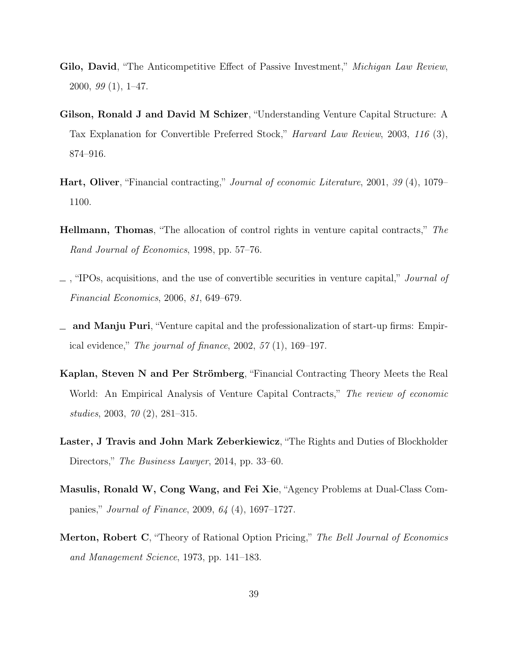- Gilo, David, "The Anticompetitive Effect of Passive Investment," Michigan Law Review, 2000,  $99(1)$ , 1–47.
- Gilson, Ronald J and David M Schizer, "Understanding Venture Capital Structure: A Tax Explanation for Convertible Preferred Stock," Harvard Law Review, 2003, 116 (3), 874–916.
- Hart, Oliver, "Financial contracting," Journal of economic Literature, 2001, 39 (4), 1079– 1100.
- Hellmann, Thomas, "The allocation of control rights in venture capital contracts," The Rand Journal of Economics, 1998, pp. 57–76.
- $\Box$ , "IPOs, acquisitions, and the use of convertible securities in venture capital," *Journal of* Financial Economics, 2006, 81, 649–679.
- and Manju Puri, "Venture capital and the professionalization of start-up firms: Empirical evidence," The journal of finance,  $2002, 57(1), 169-197$ .
- Kaplan, Steven N and Per Strömberg, "Financial Contracting Theory Meets the Real World: An Empirical Analysis of Venture Capital Contracts," The review of economic studies, 2003, 70 (2), 281–315.
- Laster, J Travis and John Mark Zeberkiewicz, "The Rights and Duties of Blockholder Directors," The Business Lawyer, 2014, pp. 33–60.
- Masulis, Ronald W, Cong Wang, and Fei Xie, "Agency Problems at Dual-Class Companies," Journal of Finance, 2009, 64 (4), 1697–1727.
- Merton, Robert C, "Theory of Rational Option Pricing," The Bell Journal of Economics and Management Science, 1973, pp. 141–183.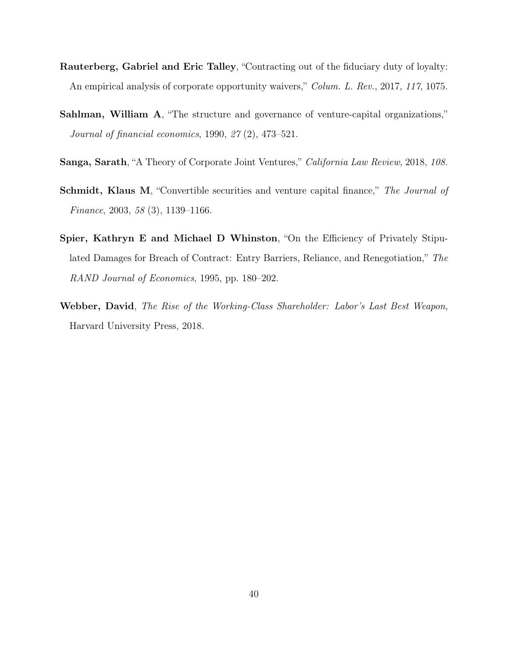- Rauterberg, Gabriel and Eric Talley, "Contracting out of the fiduciary duty of loyalty: An empirical analysis of corporate opportunity waivers," Colum. L. Rev., 2017, 117, 1075.
- Sahlman, William A, "The structure and governance of venture-capital organizations," Journal of financial economics, 1990, 27 (2), 473–521.
- Sanga, Sarath, "A Theory of Corporate Joint Ventures," California Law Review, 2018, 108.
- Schmidt, Klaus M, "Convertible securities and venture capital finance," The Journal of Finance, 2003, 58 (3), 1139–1166.
- Spier, Kathryn E and Michael D Whinston, "On the Efficiency of Privately Stipulated Damages for Breach of Contract: Entry Barriers, Reliance, and Renegotiation," The RAND Journal of Economics, 1995, pp. 180–202.
- Webber, David, The Rise of the Working-Class Shareholder: Labor's Last Best Weapon, Harvard University Press, 2018.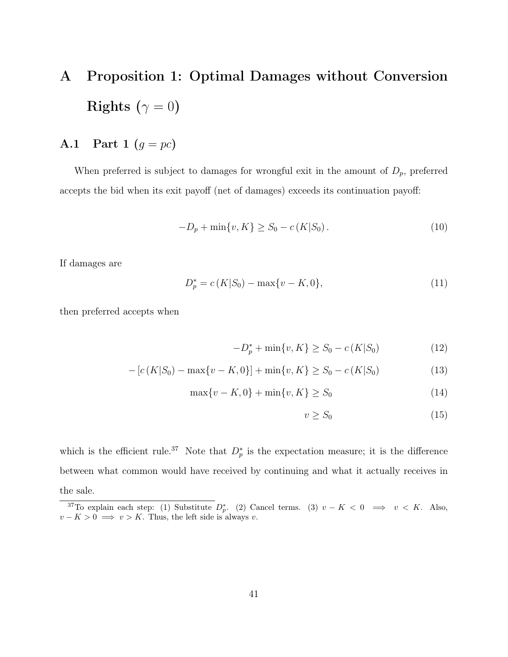## A Proposition 1: Optimal Damages without Conversion Rights ( $\gamma = 0$ )

## A.1 Part 1  $(g = pc)$

When preferred is subject to damages for wrongful exit in the amount of  $D_p$ , preferred accepts the bid when its exit payoff (net of damages) exceeds its continuation payoff:

$$
-D_p + \min\{v, K\} \ge S_0 - c(K|S_0). \tag{10}
$$

If damages are

$$
D_p^* = c(K|S_0) - \max\{v - K, 0\},\tag{11}
$$

then preferred accepts when

$$
-D_p^* + \min\{v, K\} \ge S_0 - c(K|S_0)
$$
 (12)

$$
- [c(K|S_0) - \max\{v - K, 0\}] + \min\{v, K\} \ge S_0 - c(K|S_0)
$$
\n(13)

$$
\max\{v - K, 0\} + \min\{v, K\} \ge S_0
$$
\n(14)

$$
v \ge S_0 \tag{15}
$$

which is the efficient rule.<sup>37</sup> Note that  $D_p^*$  is the expectation measure; it is the difference between what common would have received by continuing and what it actually receives in the sale.

<sup>&</sup>lt;sup>37</sup>To explain each step: (1) Substitute  $D_p^*$ . (2) Cancel terms. (3)  $v - K < 0 \implies v < K$ . Also,  $v - K > 0 \implies v > K$ . Thus, the left side is always v.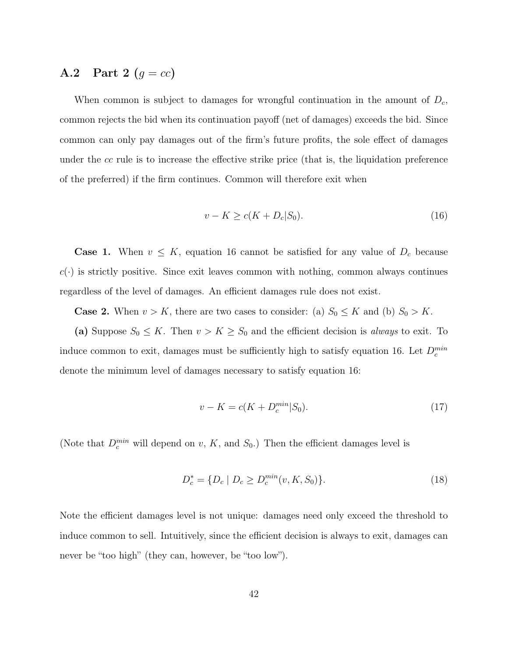### A.2 Part 2  $(g = cc)$

When common is subject to damages for wrongful continuation in the amount of  $D_c$ , common rejects the bid when its continuation payoff (net of damages) exceeds the bid. Since common can only pay damages out of the firm's future profits, the sole effect of damages under the cc rule is to increase the effective strike price (that is, the liquidation preference of the preferred) if the firm continues. Common will therefore exit when

$$
v - K \ge c(K + D_c | S_0). \tag{16}
$$

**Case 1.** When  $v \leq K$ , equation 16 cannot be satisfied for any value of  $D_c$  because  $c(\cdot)$  is strictly positive. Since exit leaves common with nothing, common always continues regardless of the level of damages. An efficient damages rule does not exist.

**Case 2.** When  $v > K$ , there are two cases to consider: (a)  $S_0 \leq K$  and (b)  $S_0 > K$ .

(a) Suppose  $S_0 \leq K$ . Then  $v > K \geq S_0$  and the efficient decision is *always* to exit. To induce common to exit, damages must be sufficiently high to satisfy equation 16. Let  $D_c^{min}$ denote the minimum level of damages necessary to satisfy equation 16:

$$
v - K = c(K + D_c^{min}|S_0).
$$
\n(17)

(Note that  $D_c^{min}$  will depend on v, K, and  $S_0$ .) Then the efficient damages level is

$$
D_c^* = \{ D_c \mid D_c \ge D_c^{\min}(v, K, S_0) \}.
$$
\n(18)

Note the efficient damages level is not unique: damages need only exceed the threshold to induce common to sell. Intuitively, since the efficient decision is always to exit, damages can never be "too high" (they can, however, be "too low").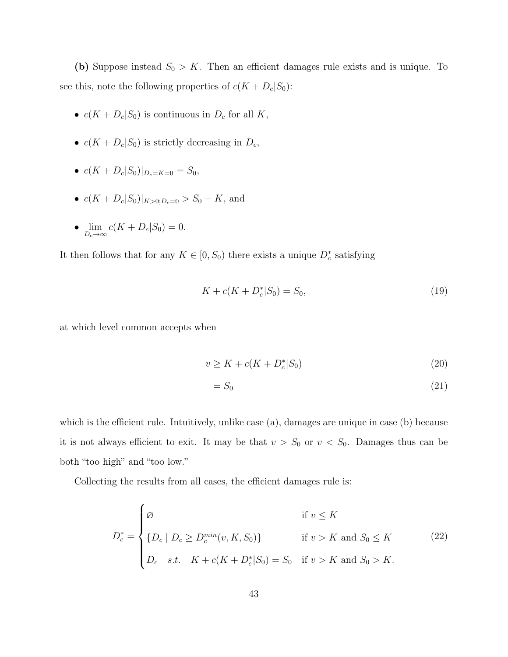(b) Suppose instead  $S_0 > K$ . Then an efficient damages rule exists and is unique. To see this, note the following properties of  $c(K + D<sub>c</sub>|S<sub>0</sub>)$ :

- $c(K + D_c|S_0)$  is continuous in  $D_c$  for all K,
- $c(K + D_c|S_0)$  is strictly decreasing in  $D_c$ ,
- $c(K + D_c|S_0)|_{D_c=K=0} = S_0$ ,
- $c(K + D_c|S_0)|_{K>0:D_c=0} > S_0 K$ , and
- $\lim_{D_c \to \infty} c(K + D_c | S_0) = 0.$

It then follows that for any  $K \in [0, S_0)$  there exists a unique  $D_c^*$  satisfying

$$
K + c(K + D_c^* | S_0) = S_0,
$$
\n(19)

at which level common accepts when

$$
v \ge K + c(K + D_c^* | S_0)
$$
\n(20)

$$
=S_0\tag{21}
$$

which is the efficient rule. Intuitively, unlike case (a), damages are unique in case (b) because it is not always efficient to exit. It may be that  $v > S_0$  or  $v < S_0$ . Damages thus can be both "too high" and "too low."

Collecting the results from all cases, the efficient damages rule is:

$$
D_c^* = \begin{cases} \varnothing & \text{if } v \le K \\ \{D_c \mid D_c \ge D_c^{min}(v, K, S_0)\} & \text{if } v > K \text{ and } S_0 \le K \\ D_c & s.t. \quad K + c(K + D_c^* | S_0) = S_0 & \text{if } v > K \text{ and } S_0 > K. \end{cases}
$$
 (22)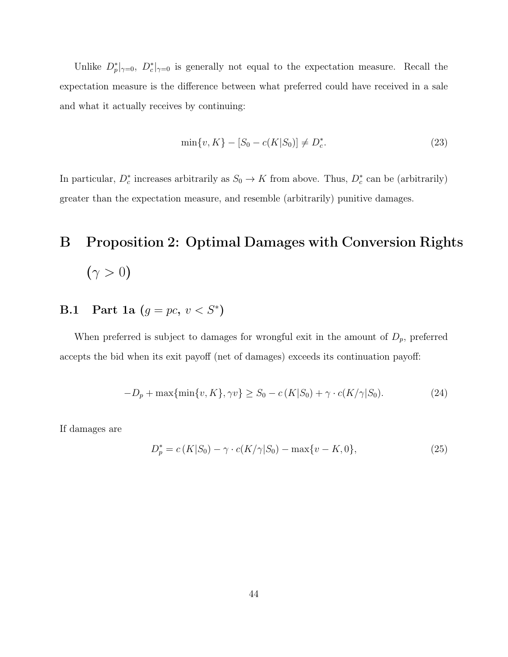Unlike  $D_p^*|_{\gamma=0}$ ,  $D_c^*|_{\gamma=0}$  is generally not equal to the expectation measure. Recall the expectation measure is the difference between what preferred could have received in a sale and what it actually receives by continuing:

$$
\min\{v, K\} - [S_0 - c(K|S_0)] \neq D_c^*.
$$
\n(23)

In particular,  $D_c^*$  increases arbitrarily as  $S_0 \to K$  from above. Thus,  $D_c^*$  can be (arbitrarily) greater than the expectation measure, and resemble (arbitrarily) punitive damages.

# B Proposition 2: Optimal Damages with Conversion Rights  $(\gamma > 0)$

## **B.1** Part 1a  $(g = pc, v < S^*)$

When preferred is subject to damages for wrongful exit in the amount of  $D_p$ , preferred accepts the bid when its exit payoff (net of damages) exceeds its continuation payoff:

$$
-D_p + \max\{\min\{v, K\}, \gamma v\} \ge S_0 - c(K|S_0) + \gamma \cdot c(K/\gamma|S_0). \tag{24}
$$

If damages are

$$
D_p^* = c(K|S_0) - \gamma \cdot c(K/\gamma|S_0) - \max\{v - K, 0\},\tag{25}
$$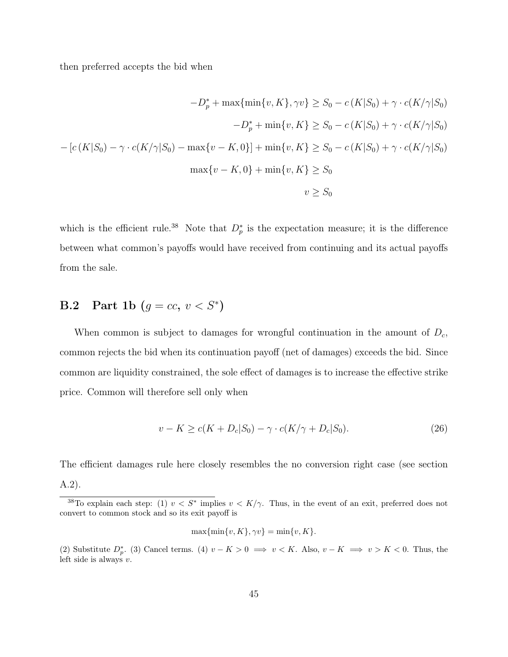then preferred accepts the bid when

$$
-D_p^* + \max\{\min\{v, K\}, \gamma v\} \ge S_0 - c(K|S_0) + \gamma \cdot c(K/\gamma|S_0)
$$

$$
-D_p^* + \min\{v, K\} \ge S_0 - c(K|S_0) + \gamma \cdot c(K/\gamma|S_0)
$$

$$
- [c(K|S_0) - \gamma \cdot c(K/\gamma|S_0) - \max\{v - K, 0\}] + \min\{v, K\} \ge S_0 - c(K|S_0) + \gamma \cdot c(K/\gamma|S_0)
$$

$$
\max\{v - K, 0\} + \min\{v, K\} \ge S_0
$$

$$
v \ge S_0
$$

which is the efficient rule.<sup>38</sup> Note that  $D_p^*$  is the expectation measure; it is the difference between what common's payoffs would have received from continuing and its actual payoffs from the sale.

## **B.2** Part 1b  $(g = cc, v < S^*)$

When common is subject to damages for wrongful continuation in the amount of  $D_c$ , common rejects the bid when its continuation payoff (net of damages) exceeds the bid. Since common are liquidity constrained, the sole effect of damages is to increase the effective strike price. Common will therefore sell only when

$$
v - K \ge c(K + D_c|S_0) - \gamma \cdot c(K/\gamma + D_c|S_0). \tag{26}
$$

The efficient damages rule here closely resembles the no conversion right case (see section A.2).

$$
\max\{\min\{v, K\}, \gamma v\} = \min\{v, K\}.
$$

<sup>&</sup>lt;sup>38</sup>To explain each step: (1)  $v < S^*$  implies  $v < K/\gamma$ . Thus, in the event of an exit, preferred does not convert to common stock and so its exit payoff is

<sup>(2)</sup> Substitute  $D_p^*$ . (3) Cancel terms. (4)  $v - K > 0 \implies v < K$ . Also,  $v - K \implies v > K < 0$ . Thus, the left side is always  $v$ .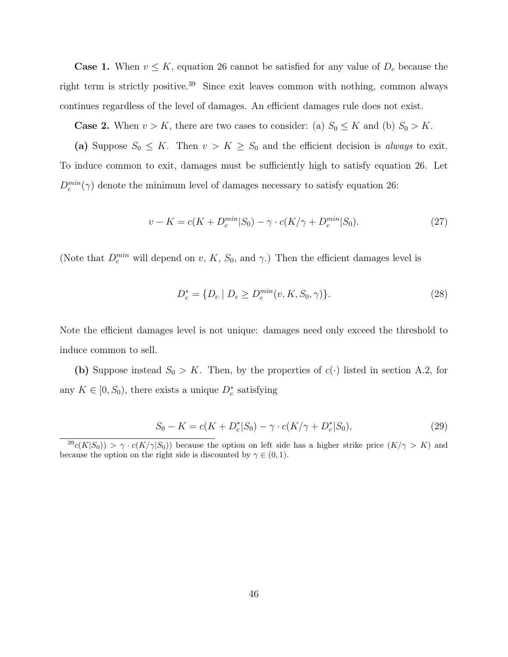**Case 1.** When  $v \leq K$ , equation 26 cannot be satisfied for any value of  $D_c$  because the right term is strictly positive.<sup>39</sup> Since exit leaves common with nothing, common always continues regardless of the level of damages. An efficient damages rule does not exist.

**Case 2.** When  $v > K$ , there are two cases to consider: (a)  $S_0 \leq K$  and (b)  $S_0 > K$ .

(a) Suppose  $S_0 \leq K$ . Then  $v > K \geq S_0$  and the efficient decision is always to exit. To induce common to exit, damages must be sufficiently high to satisfy equation 26. Let  $D_c^{min}(\gamma)$  denote the minimum level of damages necessary to satisfy equation 26:

$$
v - K = c(K + D_c^{min}|S_0) - \gamma \cdot c(K/\gamma + D_c^{min}|S_0). \tag{27}
$$

(Note that  $D_c^{min}$  will depend on v, K, S<sub>0</sub>, and  $\gamma$ .) Then the efficient damages level is

$$
D_c^* = \{ D_c \mid D_c \ge D_c^{\min}(v, K, S_0, \gamma) \}.
$$
\n(28)

Note the efficient damages level is not unique: damages need only exceed the threshold to induce common to sell.

(b) Suppose instead  $S_0 > K$ . Then, by the properties of  $c(\cdot)$  listed in section A.2, for any  $K \in [0, S_0)$ , there exists a unique  $D_c^*$  satisfying

$$
S_0 - K = c(K + D_c^* | S_0) - \gamma \cdot c(K/\gamma + D_c^* | S_0), \tag{29}
$$

 $39c(K|S_0)$  >  $\gamma \cdot c(K/\gamma|S_0)$  because the option on left side has a higher strike price  $(K/\gamma > K)$  and because the option on the right side is discounted by  $\gamma \in (0, 1)$ .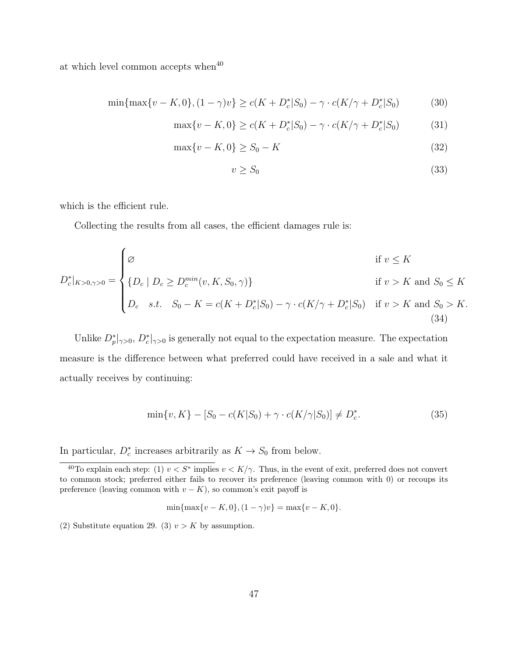at which level common accepts when $40$ 

$$
\min\{\max\{v - K, 0\}, (1 - \gamma)v\} \ge c(K + D_c^*|S_0) - \gamma \cdot c(K/\gamma + D_c^*|S_0)
$$
(30)

$$
\max\{v - K, 0\} \ge c(K + D_c^* | S_0) - \gamma \cdot c(K/\gamma + D_c^* | S_0)
$$
 (31)

$$
\max\{v - K, 0\} \ge S_0 - K \tag{32}
$$

$$
v \ge S_0 \tag{33}
$$

which is the efficient rule.

Collecting the results from all cases, the efficient damages rule is:

$$
D_c^*|_{K>0,\gamma>0} = \begin{cases} \varnothing & \text{if } v \le K \\ \{D_c \mid D_c \ge D_c^{min}(v, K, S_0, \gamma)\} & \text{if } v > K \text{ and } S_0 \le K \\ D_c & s.t. \quad S_0 - K = c(K + D_c^*|S_0) - \gamma \cdot c(K/\gamma + D_c^*|S_0) & \text{if } v > K \text{ and } S_0 > K. \end{cases}
$$
(34)

Unlike  $D_p^*|_{\gamma>0}$ ,  $D_c^*|_{\gamma>0}$  is generally not equal to the expectation measure. The expectation measure is the difference between what preferred could have received in a sale and what it actually receives by continuing:

$$
\min\{v, K\} - [S_0 - c(K|S_0) + \gamma \cdot c(K/\gamma|S_0)] \neq D_c^*.
$$
\n(35)

In particular,  $D_c^*$  increases arbitrarily as  $K \to S_0$  from below.

$$
\min\{\max\{v - K, 0\}, (1 - \gamma)v\} = \max\{v - K, 0\}.
$$

(2) Substitute equation 29. (3)  $v > K$  by assumption.

<sup>&</sup>lt;sup>40</sup>To explain each step: (1)  $v < S^*$  implies  $v < K/\gamma$ . Thus, in the event of exit, preferred does not convert to common stock; preferred either fails to recover its preference (leaving common with 0) or recoups its preference (leaving common with  $v - K$ ), so common's exit payoff is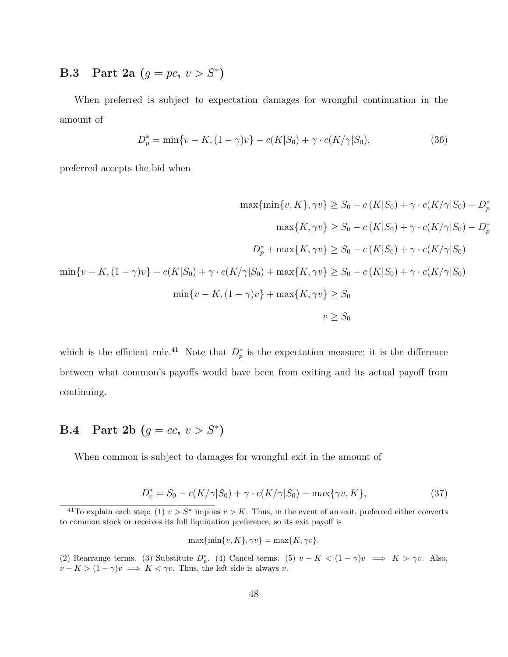## **B.3** Part 2a  $(g = pc, v > S^*)$

When preferred is subject to expectation damages for wrongful continuation in the amount of

$$
D_p^* = \min\{v - K, (1 - \gamma)v\} - c(K|S_0) + \gamma \cdot c(K/\gamma|S_0),\tag{36}
$$

preferred accepts the bid when

$$
\max{\min\{v, K\}, \gamma v} \ge S_0 - c(K|S_0) + \gamma \cdot c(K/\gamma|S_0) - D_p^*
$$
  
\n
$$
\max\{K, \gamma v\} \ge S_0 - c(K|S_0) + \gamma \cdot c(K/\gamma|S_0) - D_p^*
$$
  
\n
$$
D_p^* + \max\{K, \gamma v\} \ge S_0 - c(K|S_0) + \gamma \cdot c(K/\gamma|S_0)
$$
  
\n
$$
\min\{v - K, (1 - \gamma)v\} - c(K|S_0) + \gamma \cdot c(K/\gamma|S_0) + \max\{K, \gamma v\} \ge S_0 - c(K|S_0) + \gamma \cdot c(K/\gamma|S_0)
$$
  
\n
$$
\min\{v - K, (1 - \gamma)v\} + \max\{K, \gamma v\} \ge S_0
$$
  
\n
$$
v \ge S_0
$$

which is the efficient rule.<sup>41</sup> Note that  $D_p^*$  is the expectation measure; it is the difference between what common's payoffs would have been from exiting and its actual payoff from continuing.

## **B.4** Part 2b  $(g = cc, v > S^*)$

When common is subject to damages for wrongful exit in the amount of

$$
D_c^* = S_0 - c(K/\gamma|S_0) + \gamma \cdot c(K/\gamma|S_0) - \max{\gamma v, K},
$$
\n(37)

$$
\max\{\min\{v, K\}, \gamma v\} = \max\{K, \gamma v\}.
$$

<sup>&</sup>lt;sup>41</sup>To explain each step: (1)  $v > S^*$  implies  $v > K$ . Thus, in the event of an exit, preferred either converts to common stock or receives its full liquidation preference, so its exit payoff is

<sup>(2)</sup> Rearrange terms. (3) Substitute  $D_p^*$ . (4) Cancel terms. (5)  $v - K < (1 - \gamma)v \implies K > \gamma v$ . Also,  $v - K > (1 - \gamma)v \implies K < \gamma v$ . Thus, the left side is always v.